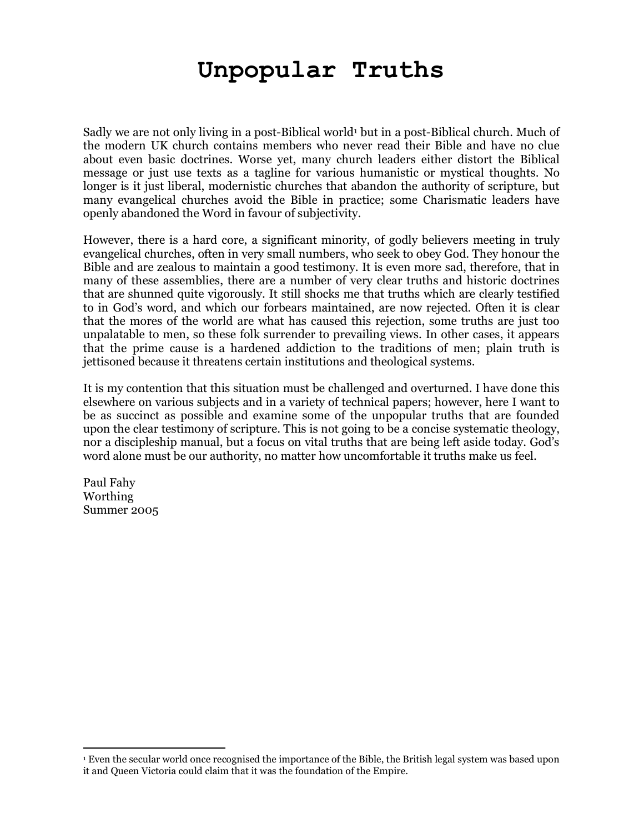# **Unpopular Truths**

Sadly we are not only living in a post-Biblical world<sup>1</sup> but in a post-Biblical church. Much of the modern UK church contains members who never read their Bible and have no clue about even basic doctrines. Worse yet, many church leaders either distort the Biblical message or just use texts as a tagline for various humanistic or mystical thoughts. No longer is it just liberal, modernistic churches that abandon the authority of scripture, but many evangelical churches avoid the Bible in practice; some Charismatic leaders have openly abandoned the Word in favour of subjectivity.

However, there is a hard core, a significant minority, of godly believers meeting in truly evangelical churches, often in very small numbers, who seek to obey God. They honour the Bible and are zealous to maintain a good testimony. It is even more sad, therefore, that in many of these assemblies, there are a number of very clear truths and historic doctrines that are shunned quite vigorously. It still shocks me that truths which are clearly testified to in God's word, and which our forbears maintained, are now rejected. Often it is clear that the mores of the world are what has caused this rejection, some truths are just too unpalatable to men, so these folk surrender to prevailing views. In other cases, it appears that the prime cause is a hardened addiction to the traditions of men; plain truth is jettisoned because it threatens certain institutions and theological systems.

It is my contention that this situation must be challenged and overturned. I have done this elsewhere on various subjects and in a variety of technical papers; however, here I want to be as succinct as possible and examine some of the unpopular truths that are founded upon the clear testimony of scripture. This is not going to be a concise systematic theology, nor a discipleship manual, but a focus on vital truths that are being left aside today. God's word alone must be our authority, no matter how uncomfortable it truths make us feel.

Paul Fahy Worthing Summer 2005

<sup>-</sup>

<sup>1</sup> Even the secular world once recognised the importance of the Bible, the British legal system was based upon it and Queen Victoria could claim that it was the foundation of the Empire.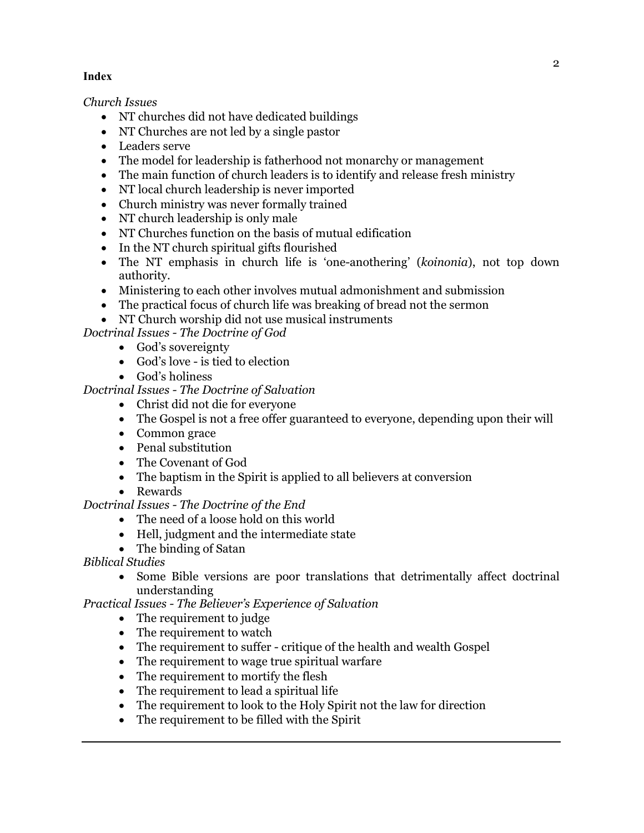## **Index**

*Church Issues* 

- NT churches did not have dedicated buildings
- NT Churches are not led by a single pastor
- Leaders serve
- The model for leadership is fatherhood not monarchy or management
- The main function of church leaders is to identify and release fresh ministry
- NT local church leadership is never imported
- Church ministry was never formally trained
- NT church leadership is only male
- NT Churches function on the basis of mutual edification
- In the NT church spiritual gifts flourished
- The NT emphasis in church life is 'one-anothering' (*koinonia*), not top down authority.
- Ministering to each other involves mutual admonishment and submission
- The practical focus of church life was breaking of bread not the sermon
- NT Church worship did not use musical instruments

*Doctrinal Issues - The Doctrine of God* 

- God's sovereignty
- God's love is tied to election
- God's holiness

## *Doctrinal Issues - The Doctrine of Salvation*

- Christ did not die for everyone
- The Gospel is not a free offer guaranteed to everyone, depending upon their will
- Common grace
- Penal substitution
- The Covenant of God
- The baptism in the Spirit is applied to all believers at conversion
- Rewards

*Doctrinal Issues - The Doctrine of the End* 

- The need of a loose hold on this world
- Hell, judgment and the intermediate state
- The binding of Satan
- *Biblical Studies* 
	- Some Bible versions are poor translations that detrimentally affect doctrinal understanding

*Practical Issues - The Believer's Experience of Salvation* 

- The requirement to judge
- The requirement to watch
- The requirement to suffer critique of the health and wealth Gospel
- The requirement to wage true spiritual warfare
- The requirement to mortify the flesh
- The requirement to lead a spiritual life
- The requirement to look to the Holy Spirit not the law for direction
- The requirement to be filled with the Spirit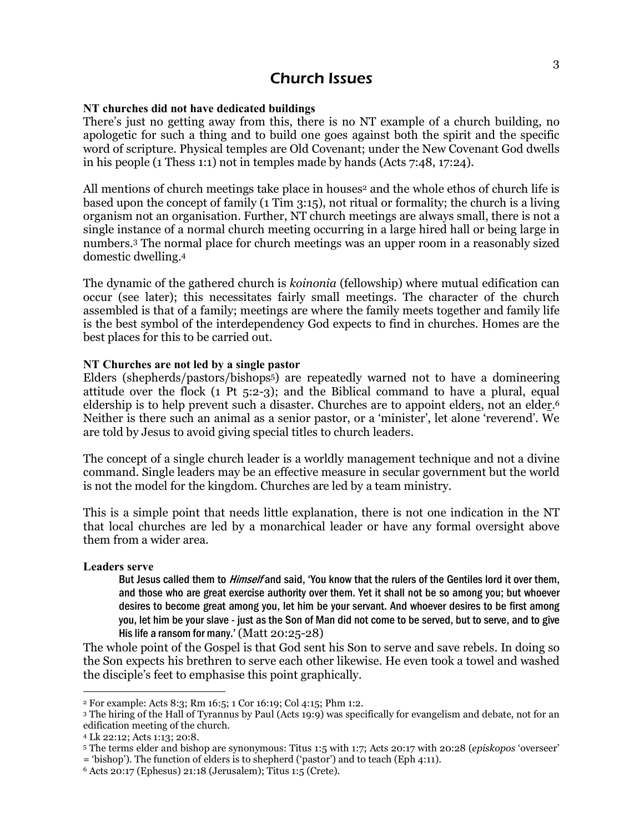## Church Issues

#### **NT churches did not have dedicated buildings**

There's just no getting away from this, there is no NT example of a church building, no apologetic for such a thing and to build one goes against both the spirit and the specific word of scripture. Physical temples are Old Covenant; under the New Covenant God dwells in his people (1 Thess 1:1) not in temples made by hands (Acts 7:48, 17:24).

All mentions of church meetings take place in houses <sup>2</sup> and the whole ethos of church life is based upon the concept of family (1 Tim 3:15), not ritual or formality; the church is a living organism not an organisation. Further, NT church meetings are always small, there is not a single instance of a normal church meeting occurring in a large hired hall or being large in numbers.3 The normal place for church meetings was an upper room in a reasonably sized domestic dwelling.<sup>4</sup>

The dynamic of the gathered church is *koinonia* (fellowship) where mutual edification can occur (see later); this necessitates fairly small meetings. The character of the church assembled is that of a family; meetings are where the family meets together and family life is the best symbol of the interdependency God expects to find in churches. Homes are the best places for this to be carried out.

#### **NT Churches are not led by a single pastor**

Elders (shepherds/pastors/bishops5) are repeatedly warned not to have a domineering attitude over the flock (1 Pt 5:2-3); and the Biblical command to have a plural, equal eldership is to help prevent such a disaster. Churches are to appoint elders, not an elde<u>r</u>.<sup>6</sup> Neither is there such an animal as a senior pastor, or a 'minister', let alone 'reverend'. We are told by Jesus to avoid giving special titles to church leaders.

The concept of a single church leader is a worldly management technique and not a divine command. Single leaders may be an effective measure in secular government but the world is not the model for the kingdom. Churches are led by a team ministry.

This is a simple point that needs little explanation, there is not one indication in the NT that local churches are led by a monarchical leader or have any formal oversight above them from a wider area.

**Leaders serve** 

 $\overline{a}$ 

But Jesus called them to *Himself* and said, 'You know that the rulers of the Gentiles lord it over them, and those who are great exercise authority over them. Yet it shall not be so among you; but whoever desires to become great among you, let him be your servant. And whoever desires to be first among you, let him be your slave - just as the Son of Man did not come to be served, but to serve, and to give His life a ransom for many.' (Matt 20:25-28)

The whole point of the Gospel is that God sent his Son to serve and save rebels. In doing so the Son expects his brethren to serve each other likewise. He even took a towel and washed the disciple's feet to emphasise this point graphically.

<sup>2</sup> For example: Acts 8:3; Rm 16:5; 1 Cor 16:19; Col 4:15; Phm 1:2.

<sup>3</sup> The hiring of the Hall of Tyrannus by Paul (Acts 19:9) was specifically for evangelism and debate, not for an edification meeting of the church.

<sup>4</sup> Lk 22:12; Acts 1:13; 20:8.

<sup>5</sup> The terms elder and bishop are synonymous: Titus 1:5 with 1:7; Acts 20:17 with 20:28 (*episkopos* 'overseer' = 'bishop'). The function of elders is to shepherd ('pastor') and to teach (Eph 4:11).

 $6$  Acts 20:17 (Ephesus) 21:18 (Jerusalem); Titus 1:5 (Crete).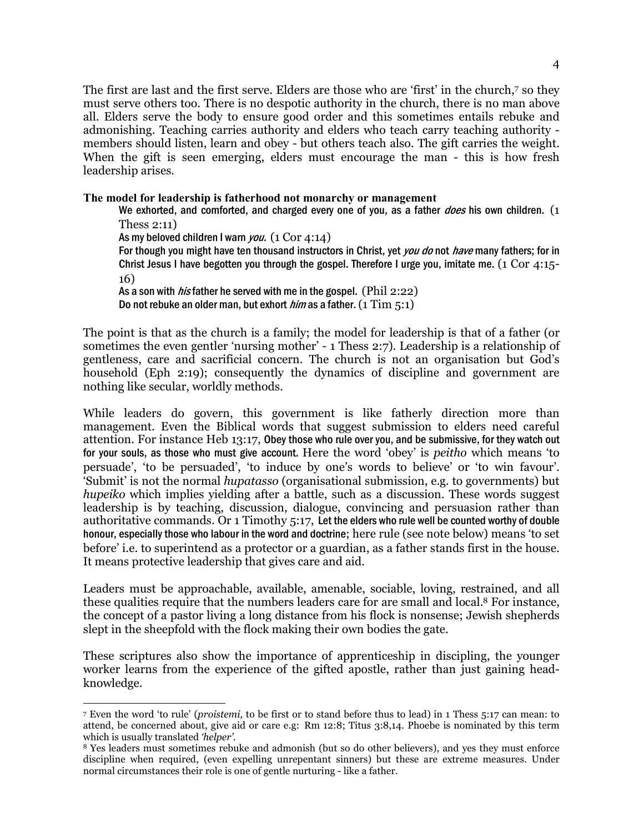The first are last and the first serve. Elders are those who are 'first' in the church,7 so they must serve others too. There is no despotic authority in the church, there is no man above all. Elders serve the body to ensure good order and this sometimes entails rebuke and admonishing. Teaching carries authority and elders who teach carry teaching authority members should listen, learn and obey - but others teach also. The gift carries the weight. When the gift is seen emerging, elders must encourage the man - this is how fresh leadership arises.

#### **The model for leadership is fatherhood not monarchy or management**

We exhorted, and comforted, and charged every one of you, as a father *does* his own children. (1) Thess 2:11)

As my beloved children I warn you.  $(1 \text{ Cor } 4:14)$ 

 $\overline{a}$ 

For though you might have ten thousand instructors in Christ, yet *you do* not *have* many fathers; for in Christ Jesus I have begotten you through the gospel. Therefore I urge you, imitate me. (1 Cor 4:15- 16)

As a son with *his* father he served with me in the gospel. (Phil 2:22) Do not rebuke an older man, but exhort *him* as a father.  $(1 \text{ Tim } 5:1)$ 

The point is that as the church is a family; the model for leadership is that of a father (or sometimes the even gentler 'nursing mother' - 1 Thess 2:7). Leadership is a relationship of gentleness, care and sacrificial concern. The church is not an organisation but God's household (Eph 2:19); consequently the dynamics of discipline and government are nothing like secular, worldly methods.

While leaders do govern, this government is like fatherly direction more than management. Even the Biblical words that suggest submission to elders need careful attention. For instance Heb 13:17, Obey those who rule over you, and be submissive, for they watch out for your souls, as those who must give account. Here the word 'obey' is *peitho* which means 'to persuade', 'to be persuaded', 'to induce by one's words to believe' or 'to win favour'. 'Submit' is not the normal *hupatasso* (organisational submission, e.g. to governments) but *hupeiko* which implies yielding after a battle, such as a discussion. These words suggest leadership is by teaching, discussion, dialogue, convincing and persuasion rather than authoritative commands. Or 1 Timothy 5:17, Let the elders who rule well be counted worthy of double honour, especially those who labour in the word and doctrine; here rule (see note below) means 'to set before' i.e. to superintend as a protector or a guardian, as a father stands first in the house. It means protective leadership that gives care and aid.

Leaders must be approachable, available, amenable, sociable, loving, restrained, and all these qualities require that the numbers leaders care for are small and local.8 For instance, the concept of a pastor living a long distance from his flock is nonsense; Jewish shepherds slept in the sheepfold with the flock making their own bodies the gate.

These scriptures also show the importance of apprenticeship in discipling, the younger worker learns from the experience of the gifted apostle, rather than just gaining headknowledge.

<sup>7</sup> Even the word 'to rule' (*proistemi,* to be first or to stand before thus to lead) in 1 Thess 5:17 can mean: to attend, be concerned about, give aid or care e.g: Rm 12:8; Titus 3:8,14. Phoebe is nominated by this term which is usually translated *'helper'.*

<sup>8</sup> Yes leaders must sometimes rebuke and admonish (but so do other believers), and yes they must enforce discipline when required, (even expelling unrepentant sinners) but these are extreme measures. Under normal circumstances their role is one of gentle nurturing - like a father.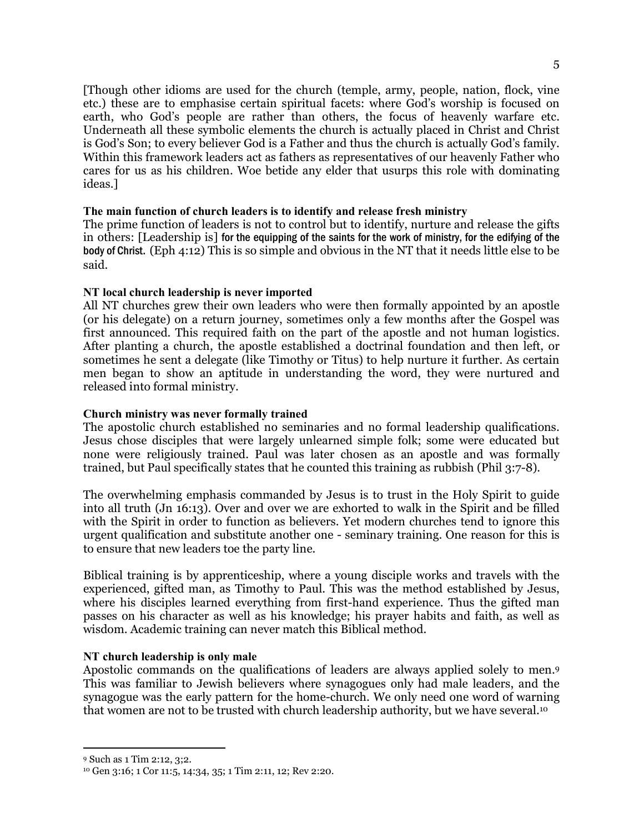[Though other idioms are used for the church (temple, army, people, nation, flock, vine etc.) these are to emphasise certain spiritual facets: where God's worship is focused on earth, who God's people are rather than others, the focus of heavenly warfare etc. Underneath all these symbolic elements the church is actually placed in Christ and Christ is God's Son; to every believer God is a Father and thus the church is actually God's family. Within this framework leaders act as fathers as representatives of our heavenly Father who cares for us as his children. Woe betide any elder that usurps this role with dominating ideas.]

#### **The main function of church leaders is to identify and release fresh ministry**

The prime function of leaders is not to control but to identify, nurture and release the gifts in others: [Leadership is] for the equipping of the saints for the work of ministry, for the edifying of the body of Christ. (Eph 4:12) This is so simple and obvious in the NT that it needs little else to be said.

#### **NT local church leadership is never imported**

All NT churches grew their own leaders who were then formally appointed by an apostle (or his delegate) on a return journey, sometimes only a few months after the Gospel was first announced. This required faith on the part of the apostle and not human logistics. After planting a church, the apostle established a doctrinal foundation and then left, or sometimes he sent a delegate (like Timothy or Titus) to help nurture it further. As certain men began to show an aptitude in understanding the word, they were nurtured and released into formal ministry.

#### **Church ministry was never formally trained**

The apostolic church established no seminaries and no formal leadership qualifications. Jesus chose disciples that were largely unlearned simple folk; some were educated but none were religiously trained. Paul was later chosen as an apostle and was formally trained, but Paul specifically states that he counted this training as rubbish (Phil 3:7-8).

The overwhelming emphasis commanded by Jesus is to trust in the Holy Spirit to guide into all truth (Jn 16:13). Over and over we are exhorted to walk in the Spirit and be filled with the Spirit in order to function as believers. Yet modern churches tend to ignore this urgent qualification and substitute another one - seminary training. One reason for this is to ensure that new leaders toe the party line.

Biblical training is by apprenticeship, where a young disciple works and travels with the experienced, gifted man, as Timothy to Paul. This was the method established by Jesus, where his disciples learned everything from first-hand experience. Thus the gifted man passes on his character as well as his knowledge; his prayer habits and faith, as well as wisdom. Academic training can never match this Biblical method.

#### **NT church leadership is only male**

Apostolic commands on the qualifications of leaders are always applied solely to men.<sup>9</sup> This was familiar to Jewish believers where synagogues only had male leaders, and the synagogue was the early pattern for the home-church. We only need one word of warning that women are not to be trusted with church leadership authority, but we have several.<sup>10</sup>

<sup>-</sup>

<sup>9</sup> Such as 1 Tim 2:12, 3;2.

<sup>10</sup> Gen 3:16; 1 Cor 11:5, 14:34, 35; 1 Tim 2:11, 12; Rev 2:20.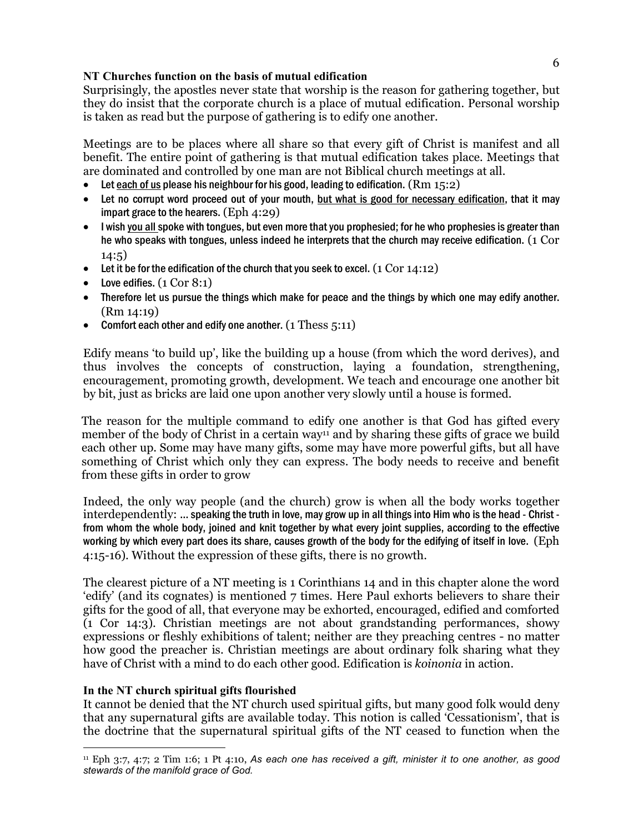## **NT Churches function on the basis of mutual edification**

Surprisingly, the apostles never state that worship is the reason for gathering together, but they do insist that the corporate church is a place of mutual edification. Personal worship is taken as read but the purpose of gathering is to edify one another.

Meetings are to be places where all share so that every gift of Christ is manifest and all benefit. The entire point of gathering is that mutual edification takes place. Meetings that are dominated and controlled by one man are not Biblical church meetings at all.

- Let each of us please his neighbour for his good, leading to edification.  $(Rm 15:2)$
- Let no corrupt word proceed out of your mouth, but what is good for necessary edification, that it may impart grace to the hearers. (Eph 4:29)
- I wish you all spoke with tongues, but even more that you prophesied; for he who prophesies is greater than he who speaks with tongues, unless indeed he interprets that the church may receive edification. (1 Cor 14:5)
- Let it be for the edification of the church that you seek to excel.  $(1 \text{ Cor } 14:12)$
- Love edifies.  $(1 \text{ Cor } 8:1)$
- Therefore let us pursue the things which make for peace and the things by which one may edify another. (Rm 14:19)
- Comfort each other and edify one another.  $(1 \text{ Thess } 5:11)$

Edify means 'to build up', like the building up a house (from which the word derives), and thus involves the concepts of construction, laying a foundation, strengthening, encouragement, promoting growth, development. We teach and encourage one another bit by bit, just as bricks are laid one upon another very slowly until a house is formed.

The reason for the multiple command to edify one another is that God has gifted every member of the body of Christ in a certain way<sup>11</sup> and by sharing these gifts of grace we build each other up. Some may have many gifts, some may have more powerful gifts, but all have something of Christ which only they can express. The body needs to receive and benefit from these gifts in order to grow

Indeed, the only way people (and the church) grow is when all the body works together interdependently: … speaking the truth in love, may grow up in all things into Him who is the head - Christ from whom the whole body, joined and knit together by what every joint supplies, according to the effective working by which every part does its share, causes growth of the body for the edifying of itself in love. (Eph 4:15-16). Without the expression of these gifts, there is no growth.

The clearest picture of a NT meeting is 1 Corinthians 14 and in this chapter alone the word 'edify' (and its cognates) is mentioned 7 times. Here Paul exhorts believers to share their gifts for the good of all, that everyone may be exhorted, encouraged, edified and comforted (1 Cor 14:3). Christian meetings are not about grandstanding performances, showy expressions or fleshly exhibitions of talent; neither are they preaching centres - no matter how good the preacher is. Christian meetings are about ordinary folk sharing what they have of Christ with a mind to do each other good. Edification is *koinonia* in action.

#### **In the NT church spiritual gifts flourished**

 $\overline{a}$ 

It cannot be denied that the NT church used spiritual gifts, but many good folk would deny that any supernatural gifts are available today. This notion is called 'Cessationism', that is the doctrine that the supernatural spiritual gifts of the NT ceased to function when the

<sup>11</sup> Eph 3:7, 4:7; 2 Tim 1:6; 1 Pt 4:10, *As each one has received a gift, minister it to one another, as good stewards of the manifold grace of God.*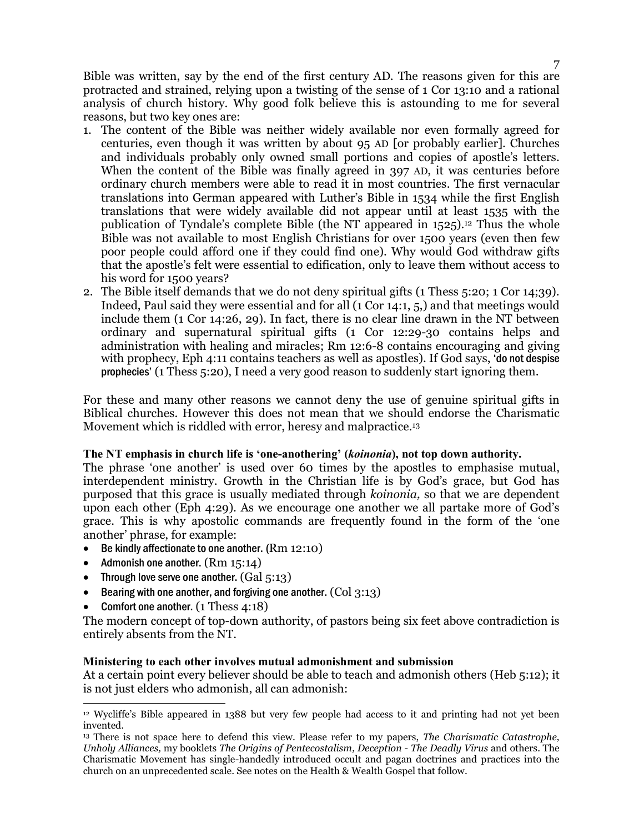Bible was written, say by the end of the first century AD. The reasons given for this are protracted and strained, relying upon a twisting of the sense of 1 Cor 13:10 and a rational analysis of church history. Why good folk believe this is astounding to me for several reasons, but two key ones are:

- 1. The content of the Bible was neither widely available nor even formally agreed for centuries, even though it was written by about 95 AD [or probably earlier]. Churches and individuals probably only owned small portions and copies of apostle's letters. When the content of the Bible was finally agreed in 397 AD, it was centuries before ordinary church members were able to read it in most countries. The first vernacular translations into German appeared with Luther's Bible in 1534 while the first English translations that were widely available did not appear until at least 1535 with the publication of Tyndale's complete Bible (the NT appeared in  $1525$ ).<sup>12</sup> Thus the whole Bible was not available to most English Christians for over 1500 years (even then few poor people could afford one if they could find one). Why would God withdraw gifts that the apostle's felt were essential to edification, only to leave them without access to his word for 1500 years?
- 2. The Bible itself demands that we do not deny spiritual gifts (1 Thess 5:20; 1 Cor 14;39). Indeed, Paul said they were essential and for all (1 Cor 14:1, 5,) and that meetings would include them (1 Cor 14:26, 29). In fact, there is no clear line drawn in the NT between ordinary and supernatural spiritual gifts (1 Cor 12:29-30 contains helps and administration with healing and miracles; Rm 12:6-8 contains encouraging and giving with prophecy, Eph 4:11 contains teachers as well as apostles). If God says, 'do not despise prophecies' (1 Thess 5:20), I need a very good reason to suddenly start ignoring them.

For these and many other reasons we cannot deny the use of genuine spiritual gifts in Biblical churches. However this does not mean that we should endorse the Charismatic Movement which is riddled with error, heresy and malpractice.<sup>13</sup>

#### **The NT emphasis in church life is 'one-anothering' (***koinonia***), not top down authority.**

The phrase 'one another' is used over 60 times by the apostles to emphasise mutual, interdependent ministry. Growth in the Christian life is by God's grace, but God has purposed that this grace is usually mediated through *koinonia,* so that we are dependent upon each other (Eph 4:29). As we encourage one another we all partake more of God's grace. This is why apostolic commands are frequently found in the form of the 'one another' phrase, for example:

- Be kindly affectionate to one another. (Rm 12:10)
- Admonish one another.  $(Rm 15:14)$
- Through love serve one another.  $(Gal 5:13)$
- Bearing with one another, and forgiving one another.  $(Col 3:13)$
- Comfort one another. (1 Thess 4:18)

 $\overline{a}$ 

The modern concept of top-down authority, of pastors being six feet above contradiction is entirely absents from the NT.

#### **Ministering to each other involves mutual admonishment and submission**

At a certain point every believer should be able to teach and admonish others (Heb 5:12); it is not just elders who admonish, all can admonish:

<sup>12</sup> Wycliffe's Bible appeared in 1388 but very few people had access to it and printing had not yet been invented.

<sup>13</sup> There is not space here to defend this view. Please refer to my papers, *The Charismatic Catastrophe, Unholy Alliances,* my booklets *The Origins of Pentecostalism, Deception - The Deadly Virus* and others. The Charismatic Movement has single-handedly introduced occult and pagan doctrines and practices into the church on an unprecedented scale. See notes on the Health & Wealth Gospel that follow.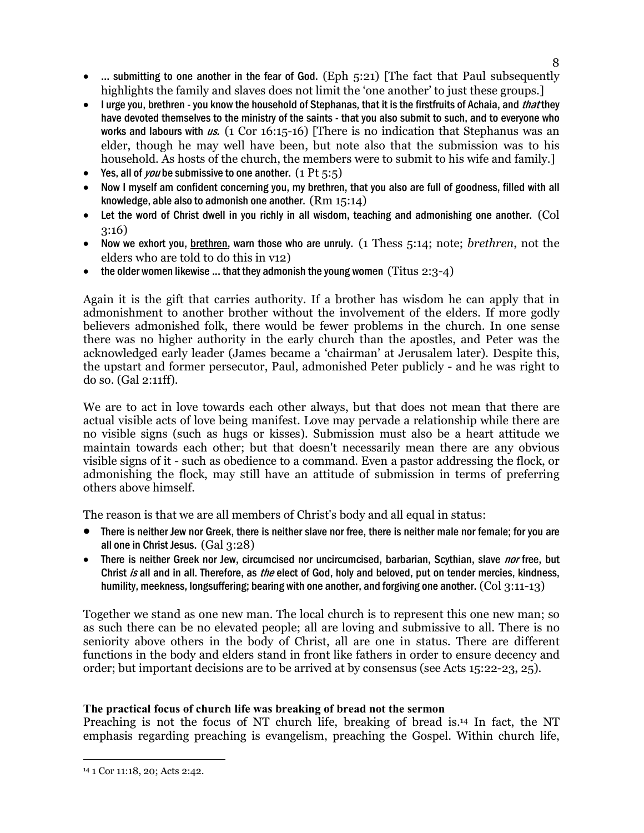- ... submitting to one another in the fear of God. (Eph  $5:21$ ) [The fact that Paul subsequently highlights the family and slaves does not limit the 'one another' to just these groups.]
- I urge you, brethren you know the household of Stephanas, that it is the firstfruits of Achaia, and *that* they have devoted themselves to the ministry of the saints - that you also submit to such, and to everyone who works and labours with us.  $(1 \text{ Cor } 16:15-16)$  [There is no indication that Stephanus was an elder, though he may well have been, but note also that the submission was to his household. As hosts of the church, the members were to submit to his wife and family.]
- Yes, all of *you* be submissive to one another.  $(1 \text{ Pt } 5:5)$
- Now I myself am confident concerning you, my brethren, that you also are full of goodness, filled with all knowledge, able also to admonish one another. (Rm 15:14)
- Let the word of Christ dwell in you richly in all wisdom, teaching and admonishing one another. (Col 3:16)
- Now we exhort you, brethren, warn those who are unruly. (1 Thess 5:14; note; *brethren*, not the elders who are told to do this in v12)
- the older women likewise ... that they admonish the young women (Titus  $2:3-4$ )

Again it is the gift that carries authority. If a brother has wisdom he can apply that in admonishment to another brother without the involvement of the elders. If more godly believers admonished folk, there would be fewer problems in the church. In one sense there was no higher authority in the early church than the apostles, and Peter was the acknowledged early leader (James became a 'chairman' at Jerusalem later). Despite this, the upstart and former persecutor, Paul, admonished Peter publicly - and he was right to do so. (Gal 2:11ff).

We are to act in love towards each other always, but that does not mean that there are actual visible acts of love being manifest. Love may pervade a relationship while there are no visible signs (such as hugs or kisses). Submission must also be a heart attitude we maintain towards each other; but that doesn't necessarily mean there are any obvious visible signs of it - such as obedience to a command. Even a pastor addressing the flock, or admonishing the flock, may still have an attitude of submission in terms of preferring others above himself.

The reason is that we are all members of Christ's body and all equal in status:

- There is neither Jew nor Greek, there is neither slave nor free, there is neither male nor female; for you are all one in Christ Jesus. (Gal 3:28)
- There is neither Greek nor Jew, circumcised nor uncircumcised, barbarian, Scythian, slave nor free, but Christ is all and in all. Therefore, as the elect of God, holy and beloved, put on tender mercies, kindness, humility, meekness, longsuffering; bearing with one another, and forgiving one another.  $(Col 3:11-13)$

Together we stand as one new man. The local church is to represent this one new man; so as such there can be no elevated people; all are loving and submissive to all. There is no seniority above others in the body of Christ, all are one in status. There are different functions in the body and elders stand in front like fathers in order to ensure decency and order; but important decisions are to be arrived at by consensus (see Acts 15:22-23, 25).

## **The practical focus of church life was breaking of bread not the sermon**

Preaching is not the focus of NT church life, breaking of bread is.14 In fact, the NT emphasis regarding preaching is evangelism, preaching the Gospel. Within church life,

8

 $\overline{a}$ 14 1 Cor 11:18, 20; Acts 2:42.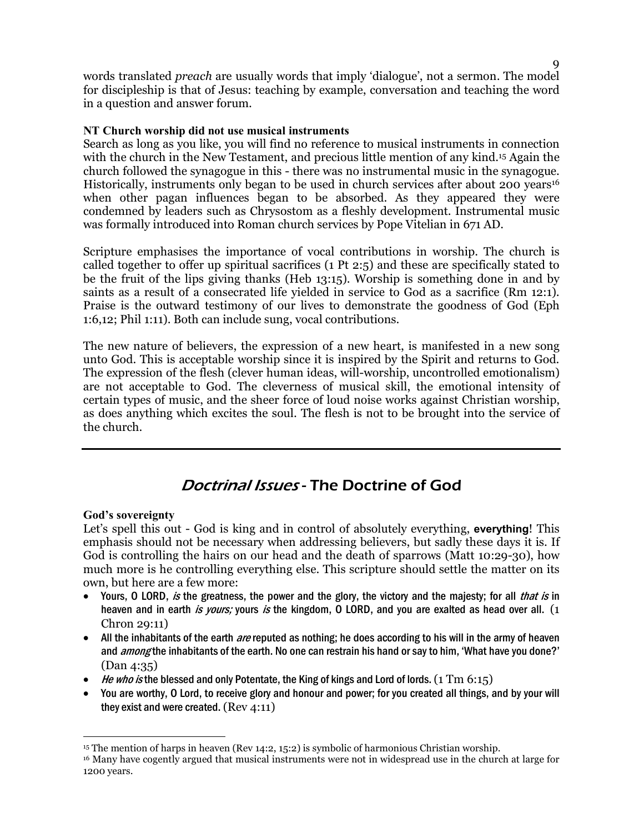words translated *preach* are usually words that imply 'dialogue', not a sermon. The model for discipleship is that of Jesus: teaching by example, conversation and teaching the word in a question and answer forum.

### **NT Church worship did not use musical instruments**

Search as long as you like, you will find no reference to musical instruments in connection with the church in the New Testament, and precious little mention of any kind.<sup>15</sup> Again the church followed the synagogue in this - there was no instrumental music in the synagogue. Historically, instruments only began to be used in church services after about 200 years<sup>16</sup> when other pagan influences began to be absorbed. As they appeared they were condemned by leaders such as Chrysostom as a fleshly development. Instrumental music was formally introduced into Roman church services by Pope Vitelian in 671 AD.

Scripture emphasises the importance of vocal contributions in worship. The church is called together to offer up spiritual sacrifices (1 Pt 2:5) and these are specifically stated to be the fruit of the lips giving thanks (Heb 13:15). Worship is something done in and by saints as a result of a consecrated life yielded in service to God as a sacrifice (Rm 12:1). Praise is the outward testimony of our lives to demonstrate the goodness of God (Eph 1:6,12; Phil 1:11). Both can include sung, vocal contributions.

The new nature of believers, the expression of a new heart, is manifested in a new song unto God. This is acceptable worship since it is inspired by the Spirit and returns to God. The expression of the flesh (clever human ideas, will-worship, uncontrolled emotionalism) are not acceptable to God. The cleverness of musical skill, the emotional intensity of certain types of music, and the sheer force of loud noise works against Christian worship, as does anything which excites the soul. The flesh is not to be brought into the service of the church.

## Doctrinal Issues - The Doctrine of God

#### **God's sovereignty**

 $\overline{a}$ 

Let's spell this out - God is king and in control of absolutely everything, **everything**! This emphasis should not be necessary when addressing believers, but sadly these days it is. If God is controlling the hairs on our head and the death of sparrows (Matt 10:29-30), how much more is he controlling everything else. This scripture should settle the matter on its own, but here are a few more:

- Yours, O LORD, is the greatness, the power and the glory, the victory and the majesty; for all that is in heaven and in earth is yours; yours is the kingdom, O LORD, and you are exalted as head over all. (1 Chron 29:11)
- All the inhabitants of the earth *are* reputed as nothing; he does according to his will in the army of heaven and *among* the inhabitants of the earth. No one can restrain his hand or say to him, 'What have you done?' (Dan 4:35)
- He who is the blessed and only Potentate, the King of kings and Lord of lords.  $(1 \text{ Tm } 6:15)$
- You are worthy, O Lord, to receive glory and honour and power; for you created all things, and by your will they exist and were created. (Rev 4:11)

<sup>15</sup> The mention of harps in heaven (Rev 14:2, 15:2) is symbolic of harmonious Christian worship.

<sup>16</sup> Many have cogently argued that musical instruments were not in widespread use in the church at large for 1200 years.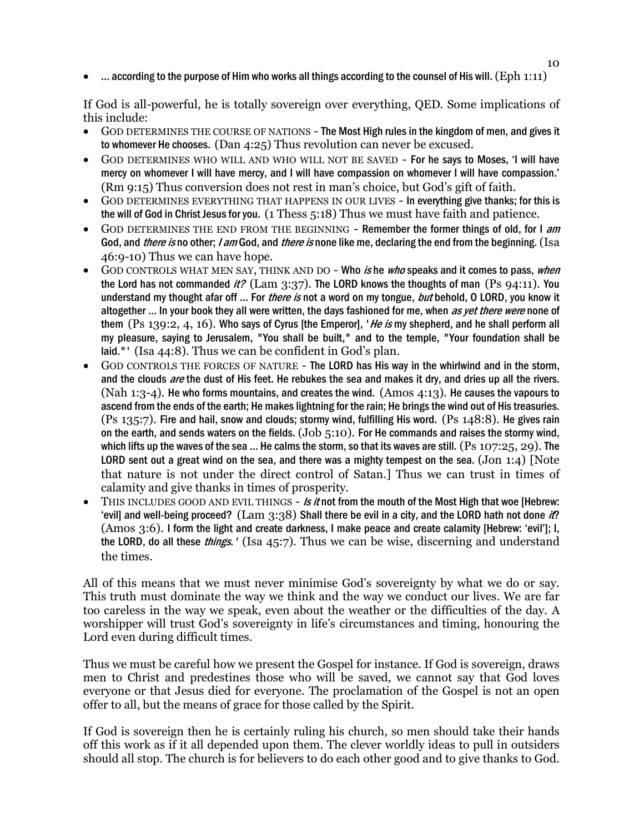$\bullet$  ... according to the purpose of Him who works all things according to the counsel of His will. (Eph 1:11)

If God is all-powerful, he is totally sovereign over everything, QED. Some implications of this include:

- GOD DETERMINES THE COURSE OF NATIONS The Most High rules in the kingdom of men, and gives it to whomever He chooses. (Dan 4:25) Thus revolution can never be excused.
- GOD DETERMINES WHO WILL AND WHO WILL NOT BE SAVED For he says to Moses, 'I will have mercy on whomever I will have mercy, and I will have compassion on whomever I will have compassion.' (Rm 9:15) Thus conversion does not rest in man's choice, but God's gift of faith.
- GOD DETERMINES EVERYTHING THAT HAPPENS IN OUR LIVES In everything give thanks; for this is the will of God in Christ Jesus for you. (1 Thess 5:18) Thus we must have faith and patience.
- GOD DETERMINES THE END FROM THE BEGINNING Remember the former things of old, for I am God, and *there is* no other; *I am* God, and *there is* none like me, declaring the end from the beginning. (Isa 46:9-10) Thus we can have hope.
- GOD CONTROLS WHAT MEN SAY, THINK AND DO Who is he who speaks and it comes to pass, when the Lord has not commanded it? (Lam  $3:37$ ). The LORD knows the thoughts of man (Ps 94:11). You understand my thought afar off ... For *there is* not a word on my tongue, *but* behold, O LORD, you know it altogether ... In your book they all were written, the days fashioned for me, when as yet there were none of them (Ps 139:2, 4, 16). Who says of Cyrus [the Emperor], 'He is my shepherd, and he shall perform all my pleasure, saying to Jerusalem, "You shall be built," and to the temple, "Your foundation shall be laid."' (Isa 44:8). Thus we can be confident in God's plan.
- GOD CONTROLS THE FORCES OF NATURE The LORD has His way in the whirlwind and in the storm, and the clouds are the dust of His feet. He rebukes the sea and makes it dry, and dries up all the rivers. (Nah 1:3-4). He who forms mountains, and creates the wind. (Amos  $4:13$ ). He causes the vapours to ascend from the ends of the earth; He makes lightning for the rain; He brings the wind out of His treasuries. (Ps 135:7). Fire and hail, snow and clouds; stormy wind, fulfilling His word. (Ps 148:8). He gives rain on the earth, and sends waters on the fields.  $(Job 5:10)$ . For He commands and raises the stormy wind, which lifts up the waves of the sea ... He calms the storm, so that its waves are still.  $(Ps 107:25, 29)$ . The LORD sent out a great wind on the sea, and there was a mighty tempest on the sea.  $($  Jon 1:4)  $)$  [Note that nature is not under the direct control of Satan.] Thus we can trust in times of calamity and give thanks in times of prosperity.
- $\bullet$  THIS INCLUDES GOOD AND EVIL THINGS Is it not from the mouth of the Most High that woe [Hebrew: 'evill and well-being proceed?  $(Lam 3:38)$  Shall there be evil in a city, and the LORD hath not done it? (Amos 3:6). I form the light and create darkness, I make peace and create calamity [Hebrew: 'evil']; I, the LORD, do all these *things.'* (Isa 45:7). Thus we can be wise, discerning and understand the times.

All of this means that we must never minimise God's sovereignty by what we do or say. This truth must dominate the way we think and the way we conduct our lives. We are far too careless in the way we speak, even about the weather or the difficulties of the day. A worshipper will trust God's sovereignty in life's circumstances and timing, honouring the Lord even during difficult times.

Thus we must be careful how we present the Gospel for instance. If God is sovereign, draws men to Christ and predestines those who will be saved, we cannot say that God loves everyone or that Jesus died for everyone. The proclamation of the Gospel is not an open offer to all, but the means of grace for those called by the Spirit.

If God is sovereign then he is certainly ruling his church, so men should take their hands off this work as if it all depended upon them. The clever worldly ideas to pull in outsiders should all stop. The church is for believers to do each other good and to give thanks to God.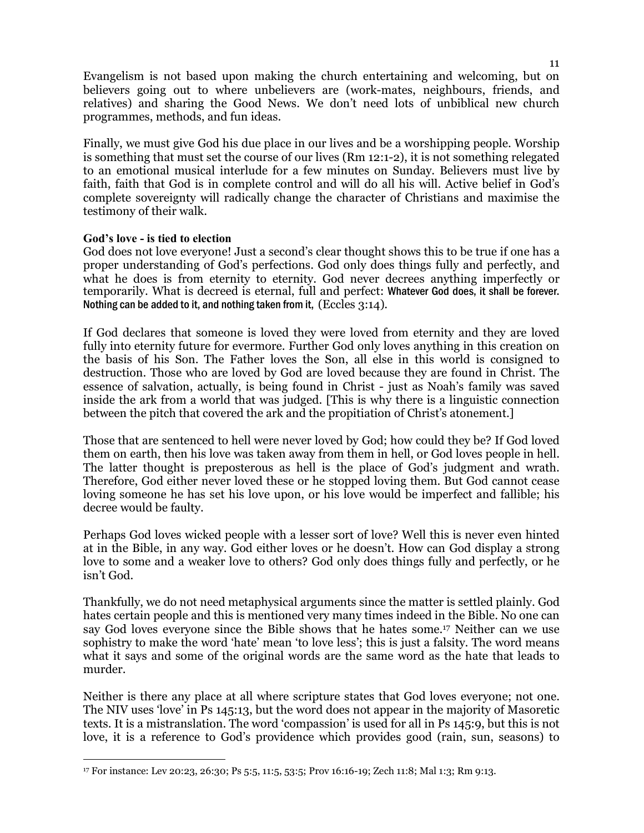Evangelism is not based upon making the church entertaining and welcoming, but on believers going out to where unbelievers are (work-mates, neighbours, friends, and relatives) and sharing the Good News. We don't need lots of unbiblical new church programmes, methods, and fun ideas.

Finally, we must give God his due place in our lives and be a worshipping people. Worship is something that must set the course of our lives (Rm 12:1-2), it is not something relegated to an emotional musical interlude for a few minutes on Sunday. Believers must live by faith, faith that God is in complete control and will do all his will. Active belief in God's complete sovereignty will radically change the character of Christians and maximise the testimony of their walk.

#### **God's love - is tied to election**

 $\overline{a}$ 

God does not love everyone! Just a second's clear thought shows this to be true if one has a proper understanding of God's perfections. God only does things fully and perfectly, and what he does is from eternity to eternity. God never decrees anything imperfectly or temporarily. What is decreed is eternal, full and perfect: Whatever God does, it shall be forever. Nothing can be added to it, and nothing taken from it, (Eccles 3:14).

If God declares that someone is loved they were loved from eternity and they are loved fully into eternity future for evermore. Further God only loves anything in this creation on the basis of his Son. The Father loves the Son, all else in this world is consigned to destruction. Those who are loved by God are loved because they are found in Christ. The essence of salvation, actually, is being found in Christ - just as Noah's family was saved inside the ark from a world that was judged. [This is why there is a linguistic connection between the pitch that covered the ark and the propitiation of Christ's atonement.]

Those that are sentenced to hell were never loved by God; how could they be? If God loved them on earth, then his love was taken away from them in hell, or God loves people in hell. The latter thought is preposterous as hell is the place of God's judgment and wrath. Therefore, God either never loved these or he stopped loving them. But God cannot cease loving someone he has set his love upon, or his love would be imperfect and fallible; his decree would be faulty.

Perhaps God loves wicked people with a lesser sort of love? Well this is never even hinted at in the Bible, in any way. God either loves or he doesn't. How can God display a strong love to some and a weaker love to others? God only does things fully and perfectly, or he isn't God.

Thankfully, we do not need metaphysical arguments since the matter is settled plainly. God hates certain people and this is mentioned very many times indeed in the Bible. No one can say God loves everyone since the Bible shows that he hates some.17 Neither can we use sophistry to make the word 'hate' mean 'to love less'; this is just a falsity. The word means what it says and some of the original words are the same word as the hate that leads to murder.

Neither is there any place at all where scripture states that God loves everyone; not one. The NIV uses 'love' in Ps 145:13, but the word does not appear in the majority of Masoretic texts. It is a mistranslation. The word 'compassion' is used for all in Ps 145:9, but this is not love, it is a reference to God's providence which provides good (rain, sun, seasons) to

<sup>17</sup> For instance: Lev 20:23, 26:30; Ps 5:5, 11:5, 53:5; Prov 16:16-19; Zech 11:8; Mal 1:3; Rm 9:13.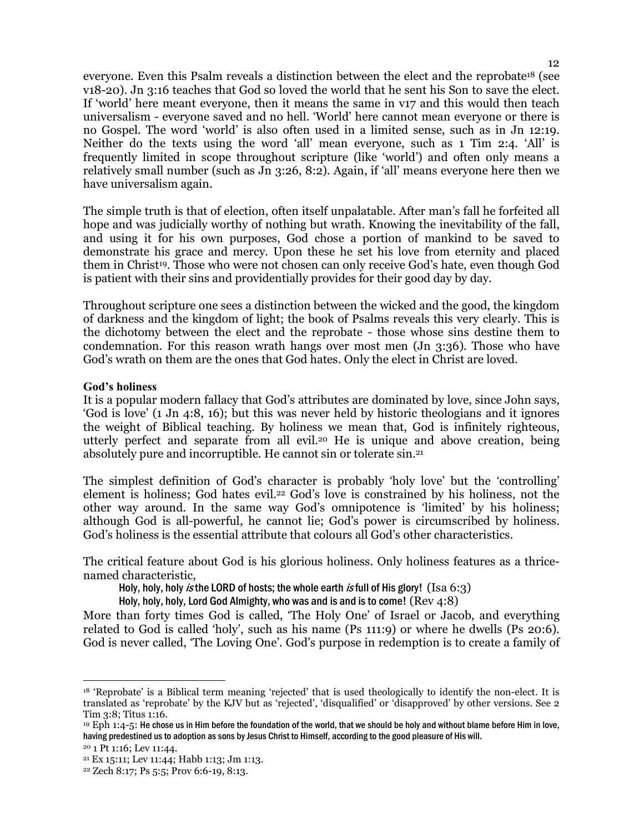everyone. Even this Psalm reveals a distinction between the elect and the reprobate18 (see v18-20). Jn 3:16 teaches that God so loved the world that he sent his Son to save the elect. If 'world' here meant everyone, then it means the same in v17 and this would then teach universalism - everyone saved and no hell. 'World' here cannot mean everyone or there is no Gospel. The word 'world' is also often used in a limited sense, such as in Jn 12:19. Neither do the texts using the word 'all' mean everyone, such as 1 Tim 2:4. 'All' is frequently limited in scope throughout scripture (like 'world') and often only means a relatively small number (such as Jn 3:26, 8:2). Again, if 'all' means everyone here then we have universalism again.

The simple truth is that of election, often itself unpalatable. After man's fall he forfeited all hope and was judicially worthy of nothing but wrath. Knowing the inevitability of the fall, and using it for his own purposes, God chose a portion of mankind to be saved to demonstrate his grace and mercy. Upon these he set his love from eternity and placed them in Christ<sup>19</sup>. Those who were not chosen can only receive God's hate, even though God is patient with their sins and providentially provides for their good day by day.

Throughout scripture one sees a distinction between the wicked and the good, the kingdom of darkness and the kingdom of light; the book of Psalms reveals this very clearly. This is the dichotomy between the elect and the reprobate - those whose sins destine them to condemnation. For this reason wrath hangs over most men (Jn 3:36). Those who have God's wrath on them are the ones that God hates. Only the elect in Christ are loved.

#### **God's holiness**

It is a popular modern fallacy that God's attributes are dominated by love, since John says, 'God is love' (1 Jn 4:8, 16); but this was never held by historic theologians and it ignores the weight of Biblical teaching. By holiness we mean that, God is infinitely righteous, utterly perfect and separate from all evil.20 He is unique and above creation, being absolutely pure and incorruptible. He cannot sin or tolerate sin.<sup>21</sup>

The simplest definition of God's character is probably 'holy love' but the 'controlling' element is holiness; God hates evil.22 God's love is constrained by his holiness, not the other way around. In the same way God's omnipotence is 'limited' by his holiness; although God is all-powerful, he cannot lie; God's power is circumscribed by holiness. God's holiness is the essential attribute that colours all God's other characteristics.

The critical feature about God is his glorious holiness. Only holiness features as a thricenamed characteristic,

Holy, holy, holy *is* the LORD of hosts; the whole earth *is* full of His glory! (Isa  $6:3$ )

Holy, holy, holy, Lord God Almighty, who was and is and is to come! (Rev 4:8)

More than forty times God is called, 'The Holy One' of Israel or Jacob, and everything related to God is called 'holy', such as his name (Ps 111:9) or where he dwells (Ps 20:6). God is never called, 'The Loving One'. God's purpose in redemption is to create a family of

 $\overline{a}$ 

<sup>18</sup> 'Reprobate' is a Biblical term meaning 'rejected' that is used theologically to identify the non-elect. It is translated as 'reprobate' by the KJV but as 'rejected', 'disqualified' or 'disapproved' by other versions. See 2 Tim 3:8; Titus 1:16.

 $19$  Eph 1:4-5: He chose us in Him before the foundation of the world, that we should be holy and without blame before Him in love. having predestined us to adoption as sons by Jesus Christ to Himself, according to the good pleasure of His will.

<sup>20</sup> 1 Pt 1:16; Lev 11:44.

<sup>21</sup> Ex 15:11; Lev 11:44; Habb 1:13; Jm 1:13.

<sup>22</sup> Zech 8:17; Ps 5:5; Prov 6:6-19, 8:13.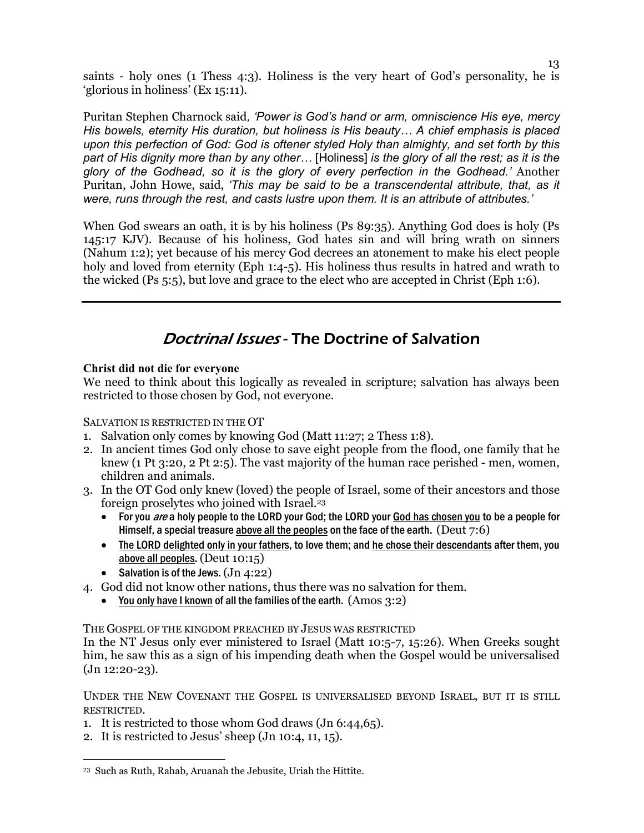saints - holy ones (1 Thess 4:3). Holiness is the very heart of God's personality, he is 'glorious in holiness' (Ex 15:11).

Puritan Stephen Charnock said*, 'Power is God's hand or arm, omniscience His eye, mercy His bowels, eternity His duration, but holiness is His beauty... A chief emphasis is placed upon this perfection of God: God is oftener styled Holy than almighty, and set forth by this*  part of His dignity more than by any other... [Holiness] is the glory of all the rest; as it is the *glory of the Godhead, so it is the glory of every perfection in the Godhead.'* Another Puritan, John Howe, said, *'This may be said to be a transcendental attribute, that, as it were, runs through the rest, and casts lustre upon them. It is an attribute of attributes.'*

When God swears an oath, it is by his holiness (Ps 89:35). Anything God does is holy (Ps 145:17 KJV). Because of his holiness, God hates sin and will bring wrath on sinners (Nahum 1:2); yet because of his mercy God decrees an atonement to make his elect people holy and loved from eternity (Eph 1:4-5). His holiness thus results in hatred and wrath to the wicked (Ps 5:5), but love and grace to the elect who are accepted in Christ (Eph 1:6).

## Doctrinal Issues - The Doctrine of Salvation

## **Christ did not die for everyone**

We need to think about this logically as revealed in scripture; salvation has always been restricted to those chosen by God, not everyone.

SALVATION IS RESTRICTED IN THE OT

- 1. Salvation only comes by knowing God (Matt 11:27; 2 Thess 1:8).
- 2. In ancient times God only chose to save eight people from the flood, one family that he knew (1 Pt 3:20, 2 Pt 2:5). The vast majority of the human race perished - men, women, children and animals.
- 3. In the OT God only knew (loved) the people of Israel, some of their ancestors and those foreign proselytes who joined with Israel.<sup>23</sup>
	- For you are a holy people to the LORD your God; the LORD your God has chosen you to be a people for Himself, a special treasure above all the peoples on the face of the earth. (Deut 7:6)
	- The LORD delighted only in your fathers, to love them; and he chose their descendants after them, you above all peoples. (Deut 10:15)
	- Salvation is of the Jews.  $(Jn 4:22)$
- 4. God did not know other nations, thus there was no salvation for them.
	- You only have I known of all the families of the earth.  $(Amos 3:2)$

THE GOSPEL OF THE KINGDOM PREACHED BY JESUS WAS RESTRICTED

In the NT Jesus only ever ministered to Israel (Matt 10:5-7, 15:26). When Greeks sought him, he saw this as a sign of his impending death when the Gospel would be universalised  $(Jn 12:20-23)$ .

UNDER THE NEW COVENANT THE GOSPEL IS UNIVERSALISED BEYOND ISRAEL, BUT IT IS STILL RESTRICTED.

- 1. It is restricted to those whom God draws (Jn 6:44,65).
- 2. It is restricted to Jesus' sheep (Jn 10:4, 11, 15).

 $\overline{a}$ 23 Such as Ruth, Rahab, Aruanah the Jebusite, Uriah the Hittite.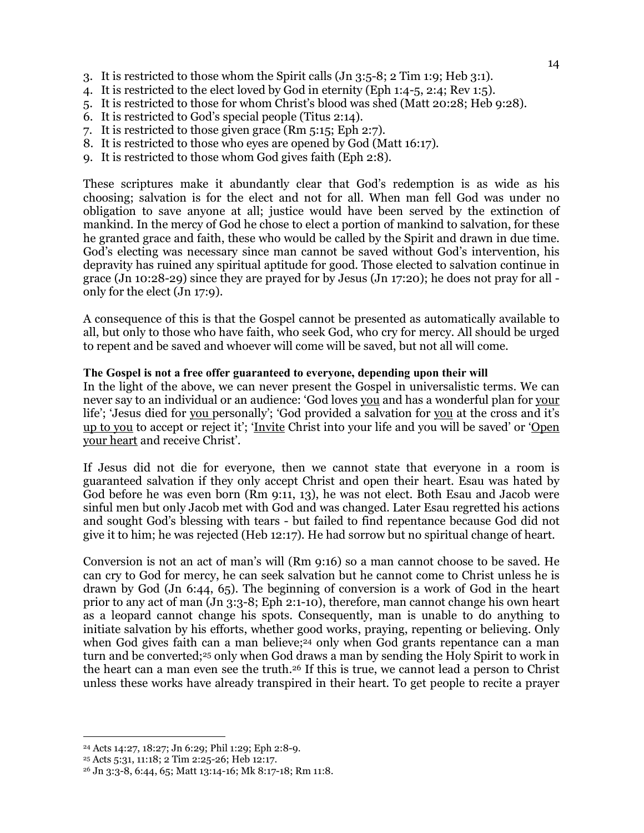- 3. It is restricted to those whom the Spirit calls (Jn 3:5-8; 2 Tim 1:9; Heb 3:1).
- 4. It is restricted to the elect loved by God in eternity (Eph 1:4-5, 2:4; Rev 1:5).
- 5. It is restricted to those for whom Christ's blood was shed (Matt 20:28; Heb 9:28).
- 6. It is restricted to God's special people (Titus 2:14).
- 7. It is restricted to those given grace (Rm 5:15; Eph 2:7).
- 8. It is restricted to those who eyes are opened by God (Matt 16:17).
- 9. It is restricted to those whom God gives faith (Eph 2:8).

These scriptures make it abundantly clear that God's redemption is as wide as his choosing; salvation is for the elect and not for all. When man fell God was under no obligation to save anyone at all; justice would have been served by the extinction of mankind. In the mercy of God he chose to elect a portion of mankind to salvation, for these he granted grace and faith, these who would be called by the Spirit and drawn in due time. God's electing was necessary since man cannot be saved without God's intervention, his depravity has ruined any spiritual aptitude for good. Those elected to salvation continue in grace (Jn 10:28-29) since they are prayed for by Jesus (Jn 17:20); he does not pray for all only for the elect (Jn 17:9).

A consequence of this is that the Gospel cannot be presented as automatically available to all, but only to those who have faith, who seek God, who cry for mercy. All should be urged to repent and be saved and whoever will come will be saved, but not all will come.

#### **The Gospel is not a free offer guaranteed to everyone, depending upon their will**

In the light of the above, we can never present the Gospel in universalistic terms. We can never say to an individual or an audience: 'God loves you and has a wonderful plan for your life'; 'Jesus died for you personally'; 'God provided a salvation for you at the cross and it's up to you to accept or reject it'; 'Invite Christ into your life and you will be saved' or 'Open your heart and receive Christ'.

If Jesus did not die for everyone, then we cannot state that everyone in a room is guaranteed salvation if they only accept Christ and open their heart. Esau was hated by God before he was even born (Rm 9:11, 13), he was not elect. Both Esau and Jacob were sinful men but only Jacob met with God and was changed. Later Esau regretted his actions and sought God's blessing with tears - but failed to find repentance because God did not give it to him; he was rejected (Heb 12:17). He had sorrow but no spiritual change of heart.

Conversion is not an act of man's will (Rm 9:16) so a man cannot choose to be saved. He can cry to God for mercy, he can seek salvation but he cannot come to Christ unless he is drawn by God (Jn 6:44, 65). The beginning of conversion is a work of God in the heart prior to any act of man (Jn 3:3-8; Eph 2:1-10), therefore, man cannot change his own heart as a leopard cannot change his spots. Consequently, man is unable to do anything to initiate salvation by his efforts, whether good works, praying, repenting or believing. Only when God gives faith can a man believe;<sup>24</sup> only when God grants repentance can a man turn and be converted;25 only when God draws a man by sending the Holy Spirit to work in the heart can a man even see the truth.26 If this is true, we cannot lead a person to Christ unless these works have already transpired in their heart. To get people to recite a prayer

 $\overline{a}$ 

<sup>24</sup> Acts 14:27, 18:27; Jn 6:29; Phil 1:29; Eph 2:8-9.

<sup>25</sup> Acts 5:31, 11:18; 2 Tim 2:25-26; Heb 12:17.

<sup>26</sup> Jn 3:3-8, 6:44, 65; Matt 13:14-16; Mk 8:17-18; Rm 11:8.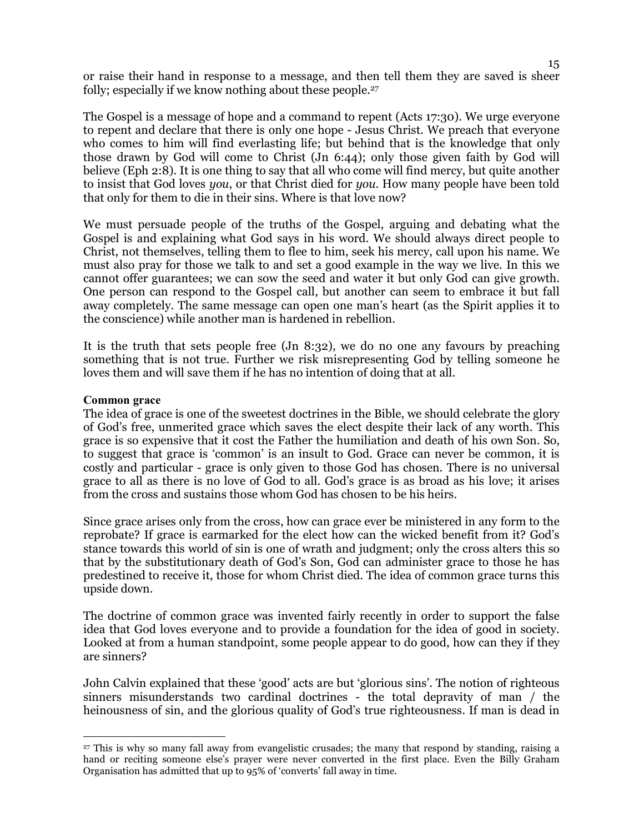or raise their hand in response to a message, and then tell them they are saved is sheer folly; especially if we know nothing about these people.<sup>27</sup>

The Gospel is a message of hope and a command to repent (Acts 17:30). We urge everyone to repent and declare that there is only one hope - Jesus Christ. We preach that everyone who comes to him will find everlasting life; but behind that is the knowledge that only those drawn by God will come to Christ (Jn 6:44); only those given faith by God will believe (Eph 2:8). It is one thing to say that all who come will find mercy, but quite another to insist that God loves *you*, or that Christ died for *you*. How many people have been told that only for them to die in their sins. Where is that love now?

We must persuade people of the truths of the Gospel, arguing and debating what the Gospel is and explaining what God says in his word. We should always direct people to Christ, not themselves, telling them to flee to him, seek his mercy, call upon his name. We must also pray for those we talk to and set a good example in the way we live. In this we cannot offer guarantees; we can sow the seed and water it but only God can give growth. One person can respond to the Gospel call, but another can seem to embrace it but fall away completely. The same message can open one man's heart (as the Spirit applies it to the conscience) while another man is hardened in rebellion.

It is the truth that sets people free (Jn 8:32), we do no one any favours by preaching something that is not true. Further we risk misrepresenting God by telling someone he loves them and will save them if he has no intention of doing that at all.

#### **Common grace**

 $\overline{a}$ 

The idea of grace is one of the sweetest doctrines in the Bible, we should celebrate the glory of God's free, unmerited grace which saves the elect despite their lack of any worth. This grace is so expensive that it cost the Father the humiliation and death of his own Son. So, to suggest that grace is 'common' is an insult to God. Grace can never be common, it is costly and particular - grace is only given to those God has chosen. There is no universal grace to all as there is no love of God to all. God's grace is as broad as his love; it arises from the cross and sustains those whom God has chosen to be his heirs.

Since grace arises only from the cross, how can grace ever be ministered in any form to the reprobate? If grace is earmarked for the elect how can the wicked benefit from it? God's stance towards this world of sin is one of wrath and judgment; only the cross alters this so that by the substitutionary death of God's Son, God can administer grace to those he has predestined to receive it, those for whom Christ died. The idea of common grace turns this upside down.

The doctrine of common grace was invented fairly recently in order to support the false idea that God loves everyone and to provide a foundation for the idea of good in society. Looked at from a human standpoint, some people appear to do good, how can they if they are sinners?

John Calvin explained that these 'good' acts are but 'glorious sins'. The notion of righteous sinners misunderstands two cardinal doctrines - the total depravity of man / the heinousness of sin, and the glorious quality of God's true righteousness. If man is dead in

<sup>27</sup> This is why so many fall away from evangelistic crusades; the many that respond by standing, raising a hand or reciting someone else's prayer were never converted in the first place. Even the Billy Graham Organisation has admitted that up to 95% of 'converts' fall away in time.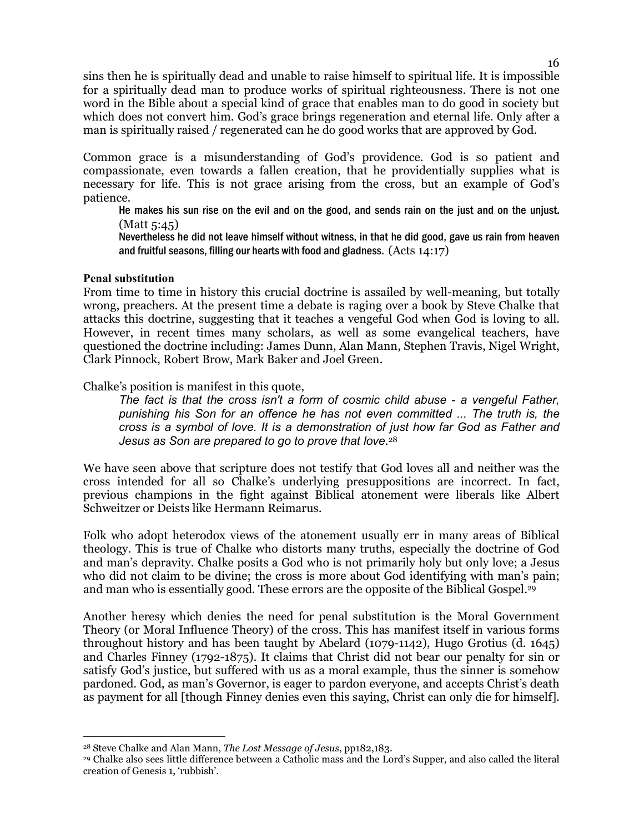sins then he is spiritually dead and unable to raise himself to spiritual life. It is impossible for a spiritually dead man to produce works of spiritual righteousness. There is not one word in the Bible about a special kind of grace that enables man to do good in society but which does not convert him. God's grace brings regeneration and eternal life. Only after a man is spiritually raised / regenerated can he do good works that are approved by God.

Common grace is a misunderstanding of God's providence. God is so patient and compassionate, even towards a fallen creation, that he providentially supplies what is necessary for life. This is not grace arising from the cross, but an example of God's patience.

He makes his sun rise on the evil and on the good, and sends rain on the just and on the unjust. (Matt 5:45)

Nevertheless he did not leave himself without witness, in that he did good, gave us rain from heaven and fruitful seasons, filling our hearts with food and gladness. (Acts 14:17)

#### **Penal substitution**

From time to time in history this crucial doctrine is assailed by well-meaning, but totally wrong, preachers. At the present time a debate is raging over a book by Steve Chalke that attacks this doctrine, suggesting that it teaches a vengeful God when God is loving to all. However, in recent times many scholars, as well as some evangelical teachers, have questioned the doctrine including: James Dunn, Alan Mann, Stephen Travis, Nigel Wright, Clark Pinnock, Robert Brow, Mark Baker and Joel Green.

Chalke's position is manifest in this quote,

*The fact is that the cross isn't a form of cosmic child abuse - a vengeful Father, punishing his Son for an offence he has not even committed ... The truth is, the cross is a symbol of love. It is a demonstration of just how far God as Father and Jesus as Son are prepared to go to prove that love*. 28

We have seen above that scripture does not testify that God loves all and neither was the cross intended for all so Chalke's underlying presuppositions are incorrect. In fact, previous champions in the fight against Biblical atonement were liberals like Albert Schweitzer or Deists like Hermann Reimarus.

Folk who adopt heterodox views of the atonement usually err in many areas of Biblical theology. This is true of Chalke who distorts many truths, especially the doctrine of God and man's depravity. Chalke posits a God who is not primarily holy but only love; a Jesus who did not claim to be divine; the cross is more about God identifying with man's pain; and man who is essentially good. These errors are the opposite of the Biblical Gospel.<sup>29</sup>

Another heresy which denies the need for penal substitution is the Moral Government Theory (or Moral Influence Theory) of the cross. This has manifest itself in various forms throughout history and has been taught by Abelard (1079-1142), Hugo Grotius (d. 1645) and Charles Finney (1792-1875). It claims that Christ did not bear our penalty for sin or satisfy God's justice, but suffered with us as a moral example, thus the sinner is somehow pardoned. God, as man's Governor, is eager to pardon everyone, and accepts Christ's death as payment for all [though Finney denies even this saying, Christ can only die for himself].

 $\overline{a}$ <sup>28</sup> Steve Chalke and Alan Mann, *The Lost Message of Jesus*, pp182,183.

<sup>29</sup> Chalke also sees little difference between a Catholic mass and the Lord's Supper, and also called the literal creation of Genesis 1, 'rubbish'.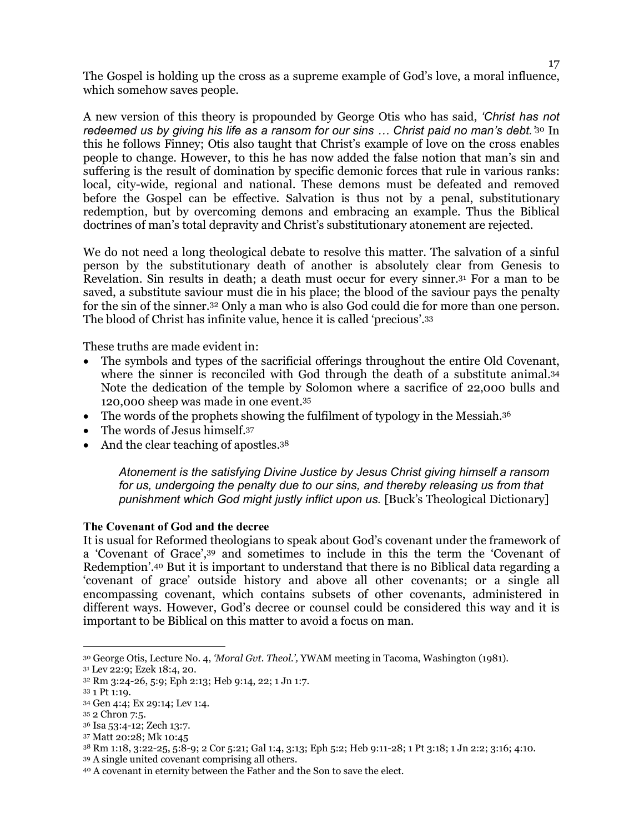The Gospel is holding up the cross as a supreme example of God's love, a moral influence, which somehow saves people.

A new version of this theory is propounded by George Otis who has said, *'Christ has not redeemed us by giving his life as a ransom for our sins ... Christ paid no man's debt.*<sup>30</sup> In this he follows Finney; Otis also taught that Christ's example of love on the cross enables people to change. However, to this he has now added the false notion that man's sin and suffering is the result of domination by specific demonic forces that rule in various ranks: local, city-wide, regional and national. These demons must be defeated and removed before the Gospel can be effective. Salvation is thus not by a penal, substitutionary redemption, but by overcoming demons and embracing an example. Thus the Biblical doctrines of man's total depravity and Christ's substitutionary atonement are rejected.

We do not need a long theological debate to resolve this matter. The salvation of a sinful person by the substitutionary death of another is absolutely clear from Genesis to Revelation. Sin results in death; a death must occur for every sinner.31 For a man to be saved, a substitute saviour must die in his place; the blood of the saviour pays the penalty for the sin of the sinner.32 Only a man who is also God could die for more than one person. The blood of Christ has infinite value, hence it is called 'precious'.<sup>33</sup>

These truths are made evident in:

- The symbols and types of the sacrificial offerings throughout the entire Old Covenant, where the sinner is reconciled with God through the death of a substitute animal.<sup>34</sup> Note the dedication of the temple by Solomon where a sacrifice of 22,000 bulls and 120,000 sheep was made in one event.<sup>35</sup>
- The words of the prophets showing the fulfilment of typology in the Messiah.<sup>36</sup>
- The words of Jesus himself.37
- And the clear teaching of apostles.<sup>38</sup>

*Atonement is the satisfying Divine Justice by Jesus Christ giving himself a ransom for us, undergoing the penalty due to our sins, and thereby releasing us from that punishment which God might justly inflict upon us.* [Buck's Theological Dictionary]

#### **The Covenant of God and the decree**

It is usual for Reformed theologians to speak about God's covenant under the framework of a 'Covenant of Grace',39 and sometimes to include in this the term the 'Covenant of Redemption'.40 But it is important to understand that there is no Biblical data regarding a 'covenant of grace' outside history and above all other covenants; or a single all encompassing covenant, which contains subsets of other covenants, administered in different ways. However, God's decree or counsel could be considered this way and it is important to be Biblical on this matter to avoid a focus on man.

 $\overline{a}$ 

<sup>37</sup> Matt 20:28; Mk 10:45

<sup>30</sup> George Otis, Lecture No. 4, *'Moral Gvt. Theol.',* YWAM meeting in Tacoma, Washington (1981).

<sup>31</sup> Lev 22:9; Ezek 18:4, 20.

<sup>32</sup> Rm 3:24-26, 5:9; Eph 2:13; Heb 9:14, 22; 1 Jn 1:7.

<sup>33</sup> 1 Pt 1:19.

<sup>34</sup> Gen 4:4; Ex 29:14; Lev 1:4.

<sup>35</sup> 2 Chron 7:5.

<sup>36</sup> Isa 53:4-12; Zech 13:7.

<sup>38</sup> Rm 1:18, 3:22-25, 5:8-9; 2 Cor 5:21; Gal 1:4, 3:13; Eph 5:2; Heb 9:11-28; 1 Pt 3:18; 1 Jn 2:2; 3:16; 4:10.

<sup>39</sup> A single united covenant comprising all others.

<sup>40</sup> A covenant in eternity between the Father and the Son to save the elect.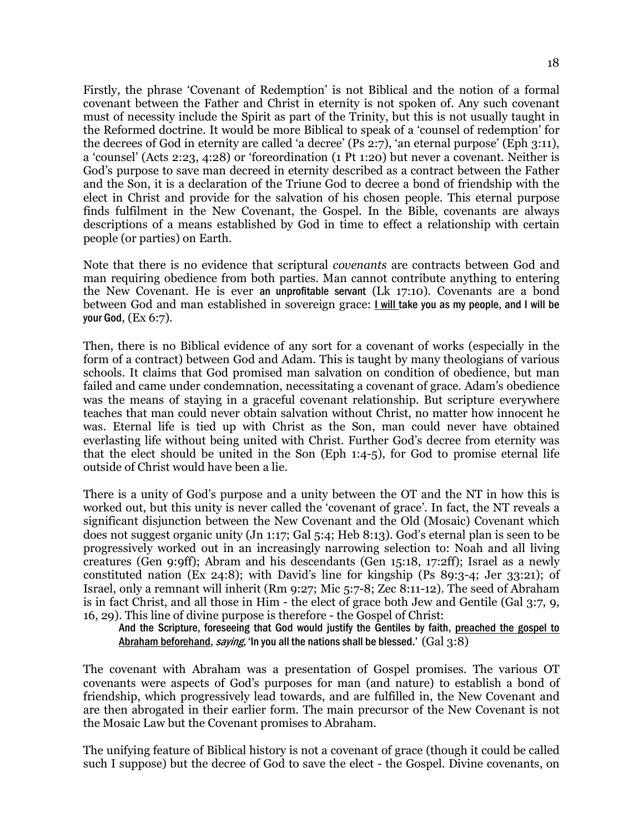Firstly, the phrase 'Covenant of Redemption' is not Biblical and the notion of a formal covenant between the Father and Christ in eternity is not spoken of. Any such covenant must of necessity include the Spirit as part of the Trinity, but this is not usually taught in the Reformed doctrine. It would be more Biblical to speak of a 'counsel of redemption' for the decrees of God in eternity are called 'a decree' (Ps 2:7), 'an eternal purpose' (Eph 3:11), a 'counsel' (Acts 2:23, 4:28) or 'foreordination (1 Pt 1:20) but never a covenant. Neither is God's purpose to save man decreed in eternity described as a contract between the Father and the Son, it is a declaration of the Triune God to decree a bond of friendship with the elect in Christ and provide for the salvation of his chosen people. This eternal purpose finds fulfilment in the New Covenant, the Gospel. In the Bible, covenants are always descriptions of a means established by God in time to effect a relationship with certain people (or parties) on Earth.

Note that there is no evidence that scriptural *covenants* are contracts between God and man requiring obedience from both parties. Man cannot contribute anything to entering the New Covenant. He is ever an unprofitable servant (Lk 17:10). Covenants are a bond between God and man established in sovereign grace: I will take you as my people, and I will be your God, (Ex 6:7).

Then, there is no Biblical evidence of any sort for a covenant of works (especially in the form of a contract) between God and Adam. This is taught by many theologians of various schools. It claims that God promised man salvation on condition of obedience, but man failed and came under condemnation, necessitating a covenant of grace. Adam's obedience was the means of staying in a graceful covenant relationship. But scripture everywhere teaches that man could never obtain salvation without Christ, no matter how innocent he was. Eternal life is tied up with Christ as the Son, man could never have obtained everlasting life without being united with Christ. Further God's decree from eternity was that the elect should be united in the Son (Eph 1:4-5), for God to promise eternal life outside of Christ would have been a lie.

There is a unity of God's purpose and a unity between the OT and the NT in how this is worked out, but this unity is never called the 'covenant of grace'. In fact, the NT reveals a significant disjunction between the New Covenant and the Old (Mosaic) Covenant which does not suggest organic unity (Jn 1:17; Gal 5:4; Heb 8:13). God's eternal plan is seen to be progressively worked out in an increasingly narrowing selection to: Noah and all living creatures (Gen 9:9ff); Abram and his descendants (Gen 15:18, 17:2ff); Israel as a newly constituted nation (Ex 24:8); with David's line for kingship (Ps 89:3-4; Jer 33:21); of Israel, only a remnant will inherit (Rm 9:27; Mic 5:7-8; Zec 8:11-12). The seed of Abraham is in fact Christ, and all those in Him - the elect of grace both Jew and Gentile (Gal 3:7, 9, 16, 29). This line of divine purpose is therefore - the Gospel of Christ:

And the Scripture, foreseeing that God would justify the Gentiles by faith, preached the gospel to Abraham beforehand, saying, 'In you all the nations shall be blessed.' (Gal 3:8)

The covenant with Abraham was a presentation of Gospel promises. The various OT covenants were aspects of God's purposes for man (and nature) to establish a bond of friendship, which progressively lead towards, and are fulfilled in, the New Covenant and are then abrogated in their earlier form. The main precursor of the New Covenant is not the Mosaic Law but the Covenant promises to Abraham.

The unifying feature of Biblical history is not a covenant of grace (though it could be called such I suppose) but the decree of God to save the elect - the Gospel. Divine covenants, on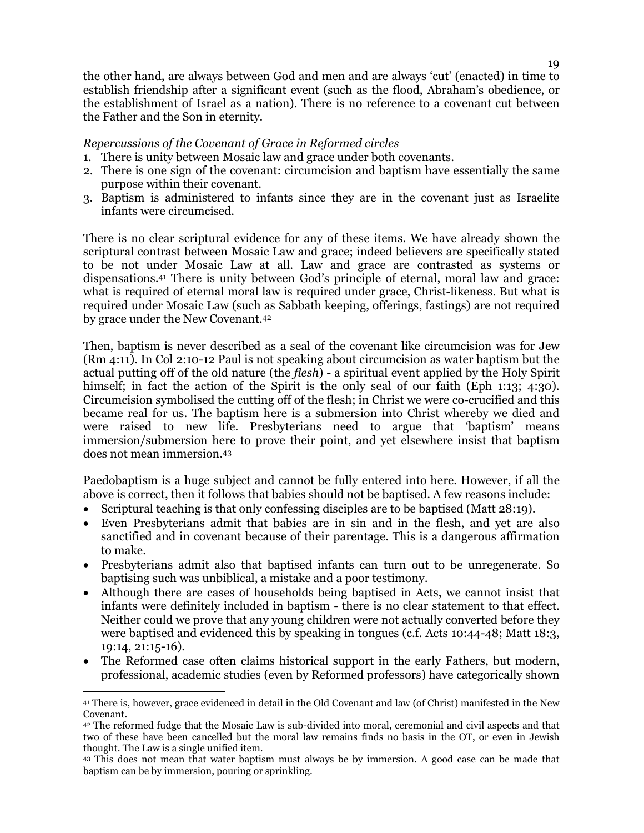### *Repercussions of the Covenant of Grace in Reformed circles*

- 1. There is unity between Mosaic law and grace under both covenants.
- 2. There is one sign of the covenant: circumcision and baptism have essentially the same purpose within their covenant.
- 3. Baptism is administered to infants since they are in the covenant just as Israelite infants were circumcised.

There is no clear scriptural evidence for any of these items. We have already shown the scriptural contrast between Mosaic Law and grace; indeed believers are specifically stated to be not under Mosaic Law at all. Law and grace are contrasted as systems or dispensations.41 There is unity between God's principle of eternal, moral law and grace: what is required of eternal moral law is required under grace, Christ-likeness. But what is required under Mosaic Law (such as Sabbath keeping, offerings, fastings) are not required by grace under the New Covenant.<sup>42</sup>

Then, baptism is never described as a seal of the covenant like circumcision was for Jew (Rm 4:11). In Col 2:10-12 Paul is not speaking about circumcision as water baptism but the actual putting off of the old nature (the *flesh*) - a spiritual event applied by the Holy Spirit himself; in fact the action of the Spirit is the only seal of our faith (Eph 1:13; 4:30). Circumcision symbolised the cutting off of the flesh; in Christ we were co-crucified and this became real for us. The baptism here is a submersion into Christ whereby we died and were raised to new life. Presbyterians need to argue that 'baptism' means immersion/submersion here to prove their point, and yet elsewhere insist that baptism does not mean immersion.<sup>43</sup>

Paedobaptism is a huge subject and cannot be fully entered into here. However, if all the above is correct, then it follows that babies should not be baptised. A few reasons include:

- Scriptural teaching is that only confessing disciples are to be baptised (Matt 28:19).
- Even Presbyterians admit that babies are in sin and in the flesh, and yet are also sanctified and in covenant because of their parentage. This is a dangerous affirmation to make.
- Presbyterians admit also that baptised infants can turn out to be unregenerate. So baptising such was unbiblical, a mistake and a poor testimony.
- Although there are cases of households being baptised in Acts, we cannot insist that infants were definitely included in baptism - there is no clear statement to that effect. Neither could we prove that any young children were not actually converted before they were baptised and evidenced this by speaking in tongues (c.f. Acts 10:44-48; Matt 18:3, 19:14, 21:15-16).
- The Reformed case often claims historical support in the early Fathers, but modern, professional, academic studies (even by Reformed professors) have categorically shown

 $\overline{a}$ <sup>41</sup> There is, however, grace evidenced in detail in the Old Covenant and law (of Christ) manifested in the New Covenant.

<sup>42</sup> The reformed fudge that the Mosaic Law is sub-divided into moral, ceremonial and civil aspects and that two of these have been cancelled but the moral law remains finds no basis in the OT, or even in Jewish thought. The Law is a single unified item.

<sup>43</sup> This does not mean that water baptism must always be by immersion. A good case can be made that baptism can be by immersion, pouring or sprinkling.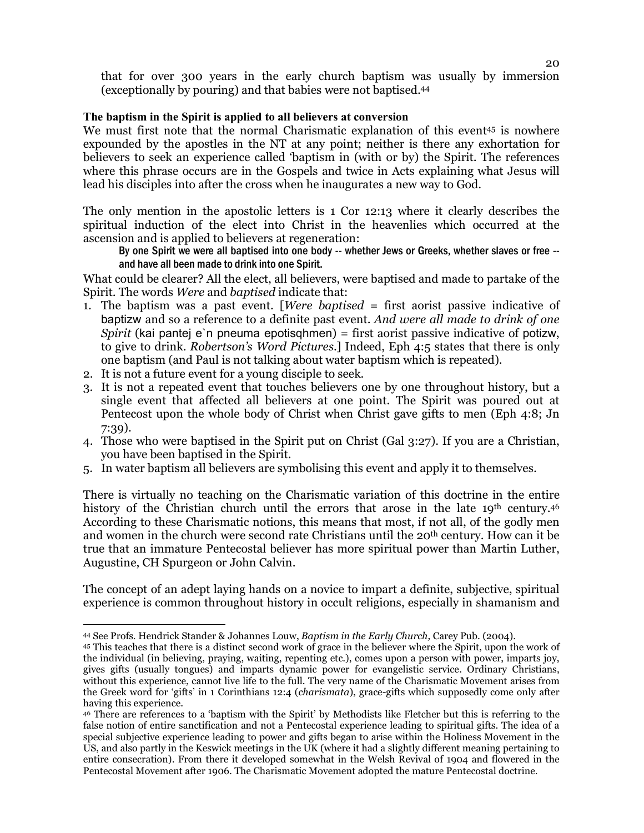that for over 300 years in the early church baptism was usually by immersion (exceptionally by pouring) and that babies were not baptised.<sup>44</sup>

## **The baptism in the Spirit is applied to all believers at conversion**

We must first note that the normal Charismatic explanation of this event<sup>45</sup> is nowhere expounded by the apostles in the NT at any point; neither is there any exhortation for believers to seek an experience called 'baptism in (with or by) the Spirit. The references where this phrase occurs are in the Gospels and twice in Acts explaining what Jesus will lead his disciples into after the cross when he inaugurates a new way to God.

The only mention in the apostolic letters is 1 Cor 12:13 where it clearly describes the spiritual induction of the elect into Christ in the heavenlies which occurred at the ascension and is applied to believers at regeneration:

By one Spirit we were all baptised into one body -- whether Jews or Greeks, whether slaves or free - and have all been made to drink into one Spirit.

What could be clearer? All the elect, all believers, were baptised and made to partake of the Spirit. The words *Were* and *baptised* indicate that:

- 1. The baptism was a past event. [*Were baptised* = first aorist passive indicative of baptizw and so a reference to a definite past event. *And were all made to drink of one Spirit* (kai pantej e`n pneuma epotisqhmen) = first aorist passive indicative of potizw, to give to drink. *Robertson's Word Pictures*.] Indeed, Eph 4:5 states that there is only one baptism (and Paul is not talking about water baptism which is repeated).
- 2. It is not a future event for a young disciple to seek.
- 3. It is not a repeated event that touches believers one by one throughout history, but a single event that affected all believers at one point. The Spirit was poured out at Pentecost upon the whole body of Christ when Christ gave gifts to men (Eph 4:8; Jn 7:39).
- 4. Those who were baptised in the Spirit put on Christ (Gal 3:27). If you are a Christian, you have been baptised in the Spirit.
- 5. In water baptism all believers are symbolising this event and apply it to themselves.

There is virtually no teaching on the Charismatic variation of this doctrine in the entire history of the Christian church until the errors that arose in the late 19<sup>th</sup> century.<sup>46</sup> According to these Charismatic notions, this means that most, if not all, of the godly men and women in the church were second rate Christians until the 20th century. How can it be true that an immature Pentecostal believer has more spiritual power than Martin Luther, Augustine, CH Spurgeon or John Calvin.

The concept of an adept laying hands on a novice to impart a definite, subjective, spiritual experience is common throughout history in occult religions, especially in shamanism and

<sup>&</sup>lt;sup>-</sup> <sup>44</sup> See Profs. Hendrick Stander & Johannes Louw, *Baptism in the Early Church,* Carey Pub. (2004).

<sup>45</sup> This teaches that there is a distinct second work of grace in the believer where the Spirit, upon the work of the individual (in believing, praying, waiting, repenting etc.), comes upon a person with power, imparts joy, gives gifts (usually tongues) and imparts dynamic power for evangelistic service. Ordinary Christians, without this experience, cannot live life to the full. The very name of the Charismatic Movement arises from the Greek word for 'gifts' in 1 Corinthians 12:4 (*charismata*), grace-gifts which supposedly come only after having this experience.

<sup>46</sup> There are references to a 'baptism with the Spirit' by Methodists like Fletcher but this is referring to the false notion of entire sanctification and not a Pentecostal experience leading to spiritual gifts. The idea of a special subjective experience leading to power and gifts began to arise within the Holiness Movement in the US, and also partly in the Keswick meetings in the UK (where it had a slightly different meaning pertaining to entire consecration). From there it developed somewhat in the Welsh Revival of 1904 and flowered in the Pentecostal Movement after 1906. The Charismatic Movement adopted the mature Pentecostal doctrine.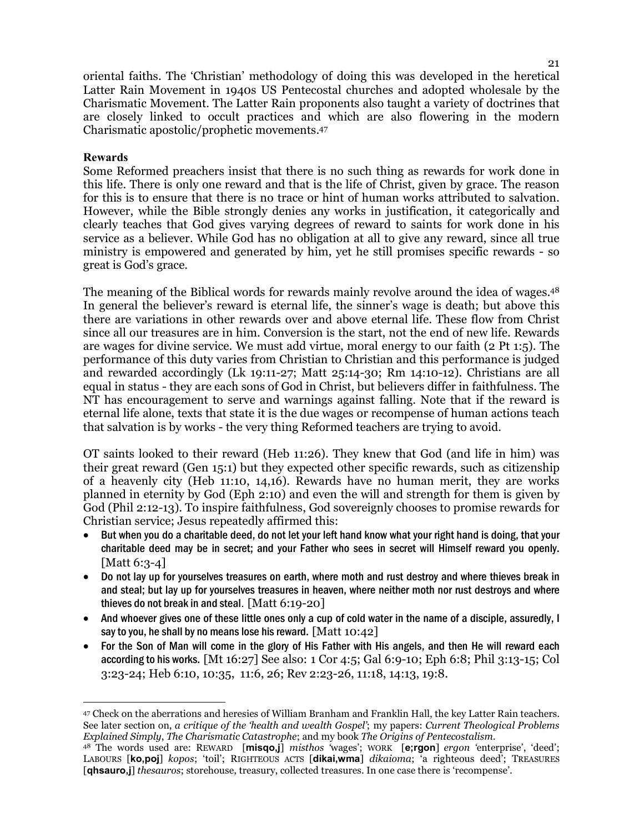oriental faiths. The 'Christian' methodology of doing this was developed in the heretical Latter Rain Movement in 1940s US Pentecostal churches and adopted wholesale by the Charismatic Movement. The Latter Rain proponents also taught a variety of doctrines that are closely linked to occult practices and which are also flowering in the modern Charismatic apostolic/prophetic movements.<sup>47</sup>

#### **Rewards**

Some Reformed preachers insist that there is no such thing as rewards for work done in this life. There is only one reward and that is the life of Christ, given by grace. The reason for this is to ensure that there is no trace or hint of human works attributed to salvation. However, while the Bible strongly denies any works in justification, it categorically and clearly teaches that God gives varying degrees of reward to saints for work done in his service as a believer. While God has no obligation at all to give any reward, since all true ministry is empowered and generated by him, yet he still promises specific rewards - so great is God's grace.

The meaning of the Biblical words for rewards mainly revolve around the idea of wages.<sup>48</sup> In general the believer's reward is eternal life, the sinner's wage is death; but above this there are variations in other rewards over and above eternal life. These flow from Christ since all our treasures are in him. Conversion is the start, not the end of new life. Rewards are wages for divine service. We must add virtue, moral energy to our faith (2 Pt 1:5). The performance of this duty varies from Christian to Christian and this performance is judged and rewarded accordingly (Lk 19:11-27; Matt 25:14-30; Rm 14:10-12). Christians are all equal in status - they are each sons of God in Christ, but believers differ in faithfulness. The NT has encouragement to serve and warnings against falling. Note that if the reward is eternal life alone, texts that state it is the due wages or recompense of human actions teach that salvation is by works - the very thing Reformed teachers are trying to avoid.

OT saints looked to their reward (Heb 11:26). They knew that God (and life in him) was their great reward (Gen 15:1) but they expected other specific rewards, such as citizenship of a heavenly city (Heb 11:10, 14,16). Rewards have no human merit, they are works planned in eternity by God (Eph 2:10) and even the will and strength for them is given by God (Phil 2:12-13). To inspire faithfulness, God sovereignly chooses to promise rewards for Christian service; Jesus repeatedly affirmed this:

- But when you do a charitable deed, do not let your left hand know what your right hand is doing, that your charitable deed may be in secret; and your Father who sees in secret will Himself reward you openly. [Matt 6:3-4]
- Do not lay up for yourselves treasures on earth, where moth and rust destroy and where thieves break in and steal; but lay up for yourselves treasures in heaven, where neither moth nor rust destroys and where thieves do not break in and steal. [Matt 6:19-20]
- And whoever gives one of these little ones only a cup of cold water in the name of a disciple, assuredly, I say to you, he shall by no means lose his reward.  $[Matt 10:42]$
- For the Son of Man will come in the glory of His Father with His angels, and then He will reward each according to his works. [Mt 16:27] See also: 1 Cor 4:5; Gal 6:9-10; Eph 6:8; Phil 3:13-15; Col 3:23-24; Heb 6:10, 10:35, 11:6, 26; Rev 2:23-26, 11:18, 14:13, 19:8.

 $\overline{a}$ <sup>47</sup> Check on the aberrations and heresies of William Branham and Franklin Hall, the key Latter Rain teachers. See later section on, *a critique of the 'health and wealth Gospel'*; my papers: *Current Theological Problems Explained Simply*, *The Charismatic Catastrophe*; and my book *The Origins of Pentecostalism*.

<sup>48</sup> The words used are: REWARD [**misqo,j**] *misthos '*wages'; WORK [**e;rgon**] *ergon '*enterprise', 'deed'; LABOURS [**ko,poj**] *kopos*; 'toil'; RIGHTEOUS ACTS [**dikai,wma**] *dikaioma*; 'a righteous deed'; TREASURES [**qhsauro,j**] *thesauros*; storehouse, treasury, collected treasures. In one case there is 'recompense'.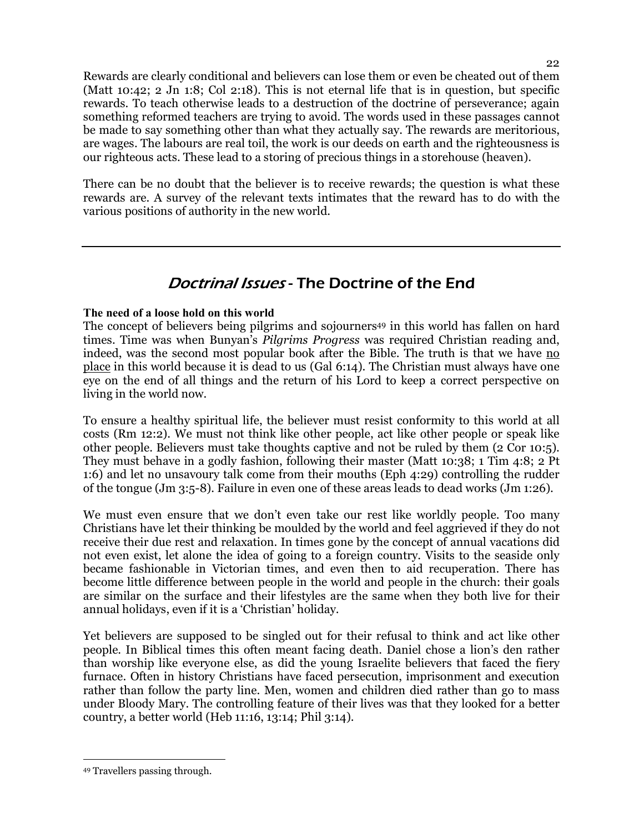Rewards are clearly conditional and believers can lose them or even be cheated out of them (Matt 10:42; 2 Jn 1:8; Col 2:18). This is not eternal life that is in question, but specific rewards. To teach otherwise leads to a destruction of the doctrine of perseverance; again something reformed teachers are trying to avoid. The words used in these passages cannot be made to say something other than what they actually say. The rewards are meritorious, are wages. The labours are real toil, the work is our deeds on earth and the righteousness is our righteous acts. These lead to a storing of precious things in a storehouse (heaven).

There can be no doubt that the believer is to receive rewards; the question is what these rewards are. A survey of the relevant texts intimates that the reward has to do with the various positions of authority in the new world.

## Doctrinal Issues - The Doctrine of the End

## **The need of a loose hold on this world**

The concept of believers being pilgrims and sojourners<sup>49</sup> in this world has fallen on hard times. Time was when Bunyan's *Pilgrims Progress* was required Christian reading and, indeed, was the second most popular book after the Bible. The truth is that we have no place in this world because it is dead to us (Gal 6:14). The Christian must always have one eye on the end of all things and the return of his Lord to keep a correct perspective on living in the world now.

To ensure a healthy spiritual life, the believer must resist conformity to this world at all costs (Rm 12:2). We must not think like other people, act like other people or speak like other people. Believers must take thoughts captive and not be ruled by them (2 Cor 10:5). They must behave in a godly fashion, following their master (Matt 10:38; 1 Tim 4:8; 2 Pt 1:6) and let no unsavoury talk come from their mouths (Eph 4:29) controlling the rudder of the tongue (Jm 3:5-8). Failure in even one of these areas leads to dead works (Jm 1:26).

We must even ensure that we don't even take our rest like worldly people. Too many Christians have let their thinking be moulded by the world and feel aggrieved if they do not receive their due rest and relaxation. In times gone by the concept of annual vacations did not even exist, let alone the idea of going to a foreign country. Visits to the seaside only became fashionable in Victorian times, and even then to aid recuperation. There has become little difference between people in the world and people in the church: their goals are similar on the surface and their lifestyles are the same when they both live for their annual holidays, even if it is a 'Christian' holiday.

Yet believers are supposed to be singled out for their refusal to think and act like other people. In Biblical times this often meant facing death. Daniel chose a lion's den rather than worship like everyone else, as did the young Israelite believers that faced the fiery furnace. Often in history Christians have faced persecution, imprisonment and execution rather than follow the party line. Men, women and children died rather than go to mass under Bloody Mary. The controlling feature of their lives was that they looked for a better country, a better world (Heb 11:16, 13:14; Phil 3:14).

 $\overline{a}$ 49 Travellers passing through.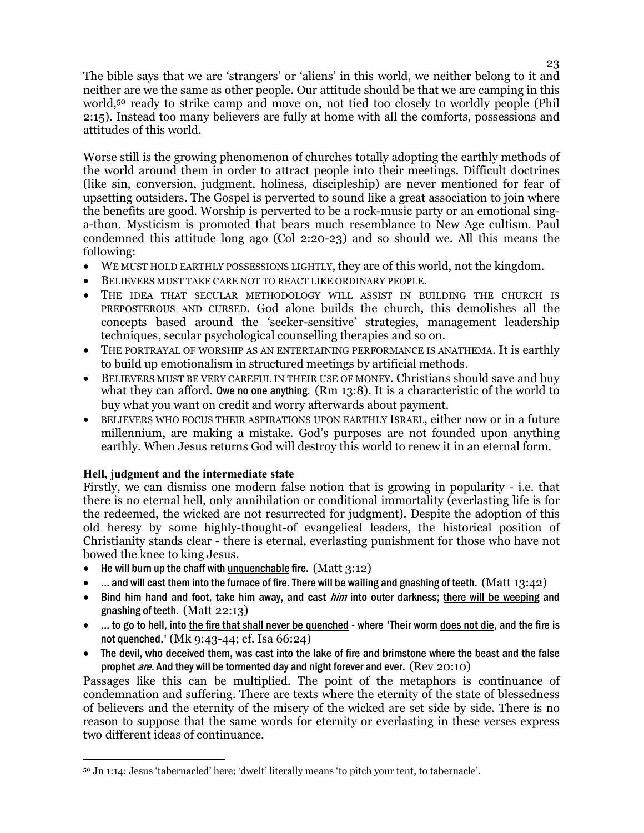The bible says that we are 'strangers' or 'aliens' in this world, we neither belong to it and neither are we the same as other people. Our attitude should be that we are camping in this world,<sup>50</sup> ready to strike camp and move on, not tied too closely to worldly people (Phil 2:15). Instead too many believers are fully at home with all the comforts, possessions and attitudes of this world.

Worse still is the growing phenomenon of churches totally adopting the earthly methods of the world around them in order to attract people into their meetings. Difficult doctrines (like sin, conversion, judgment, holiness, discipleship) are never mentioned for fear of upsetting outsiders. The Gospel is perverted to sound like a great association to join where the benefits are good. Worship is perverted to be a rock-music party or an emotional singa-thon. Mysticism is promoted that bears much resemblance to New Age cultism. Paul condemned this attitude long ago (Col 2:20-23) and so should we. All this means the following:

- WE MUST HOLD EARTHLY POSSESSIONS LIGHTLY, they are of this world, not the kingdom.
- BELIEVERS MUST TAKE CARE NOT TO REACT LIKE ORDINARY PEOPLE.
- THE IDEA THAT SECULAR METHODOLOGY WILL ASSIST IN BUILDING THE CHURCH IS PREPOSTEROUS AND CURSED. God alone builds the church, this demolishes all the concepts based around the 'seeker-sensitive' strategies, management leadership techniques, secular psychological counselling therapies and so on.
- THE PORTRAYAL OF WORSHIP AS AN ENTERTAINING PERFORMANCE IS ANATHEMA. It is earthly to build up emotionalism in structured meetings by artificial methods.
- BELIEVERS MUST BE VERY CAREFUL IN THEIR USE OF MONEY. Christians should save and buy what they can afford. Owe no one anything. (Rm 13:8). It is a characteristic of the world to buy what you want on credit and worry afterwards about payment.
- BELIEVERS WHO FOCUS THEIR ASPIRATIONS UPON EARTHLY ISRAEL, either now or in a future millennium, are making a mistake. God's purposes are not founded upon anything earthly. When Jesus returns God will destroy this world to renew it in an eternal form.

## **Hell, judgment and the intermediate state**

Firstly, we can dismiss one modern false notion that is growing in popularity - i.e. that there is no eternal hell, only annihilation or conditional immortality (everlasting life is for the redeemed, the wicked are not resurrected for judgment). Despite the adoption of this old heresy by some highly-thought-of evangelical leaders, the historical position of Christianity stands clear - there is eternal, everlasting punishment for those who have not bowed the knee to king Jesus.

- He will burn up the chaff with unquenchable fire.  $(Matt 3:12)$
- $\ldots$  and will cast them into the furnace of fire. There will be wailing and gnashing of teeth. (Matt 13:42)
- Bind him hand and foot, take him away, and cast *him* into outer darkness; there will be weeping and gnashing of teeth. (Matt 22:13)
- ... to go to hell, into the fire that shall never be quenched where 'Their worm does not die, and the fire is not quenched.' (Mk 9:43-44; cf. Isa 66:24)
- The devil, who deceived them, was cast into the lake of fire and brimstone where the beast and the false prophet *are.* And they will be tormented day and night forever and ever. (Rev 20:10)

Passages like this can be multiplied. The point of the metaphors is continuance of condemnation and suffering. There are texts where the eternity of the state of blessedness of believers and the eternity of the misery of the wicked are set side by side. There is no reason to suppose that the same words for eternity or everlasting in these verses express two different ideas of continuance.

 $\overline{a}$ <sup>50</sup> Jn 1:14: Jesus 'tabernacled' here; 'dwelt' literally means 'to pitch your tent, to tabernacle'.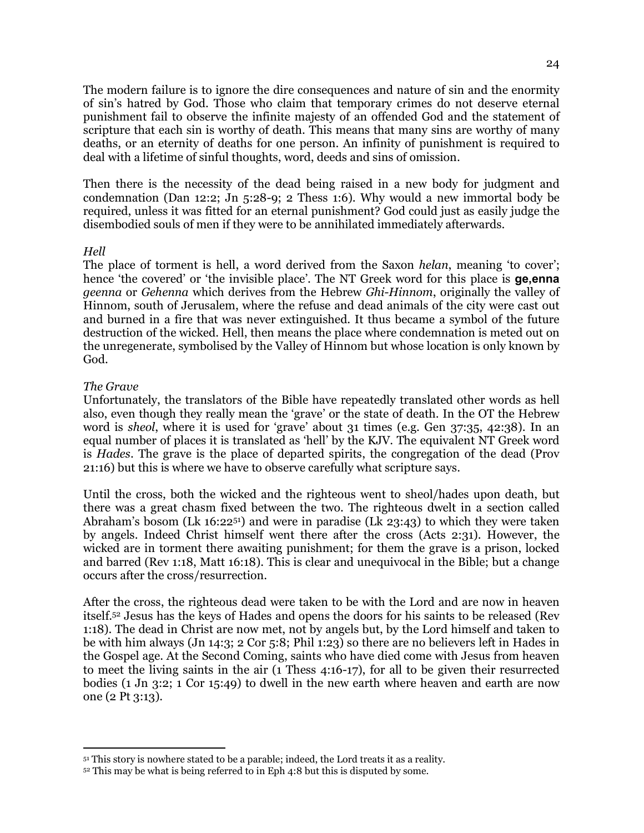The modern failure is to ignore the dire consequences and nature of sin and the enormity of sin's hatred by God. Those who claim that temporary crimes do not deserve eternal punishment fail to observe the infinite majesty of an offended God and the statement of scripture that each sin is worthy of death. This means that many sins are worthy of many deaths, or an eternity of deaths for one person. An infinity of punishment is required to deal with a lifetime of sinful thoughts, word, deeds and sins of omission.

Then there is the necessity of the dead being raised in a new body for judgment and condemnation (Dan 12:2; Jn 5:28-9; 2 Thess 1:6). Why would a new immortal body be required, unless it was fitted for an eternal punishment? God could just as easily judge the disembodied souls of men if they were to be annihilated immediately afterwards.

#### *Hell*

The place of torment is hell, a word derived from the Saxon *helan*, meaning 'to cover'; hence 'the covered' or 'the invisible place'. The NT Greek word for this place is **ge,enna** *geenna* or *Gehenna* which derives from the Hebrew *Ghi-Hinnom*, originally the valley of Hinnom, south of Jerusalem, where the refuse and dead animals of the city were cast out and burned in a fire that was never extinguished. It thus became a symbol of the future destruction of the wicked. Hell, then means the place where condemnation is meted out on the unregenerate, symbolised by the Valley of Hinnom but whose location is only known by God.

#### *The Grave*

<sup>-</sup>

Unfortunately, the translators of the Bible have repeatedly translated other words as hell also, even though they really mean the 'grave' or the state of death. In the OT the Hebrew word is *sheol*, where it is used for 'grave' about 31 times (e.g. Gen 37:35, 42:38). In an equal number of places it is translated as 'hell' by the KJV. The equivalent NT Greek word is *Hades*. The grave is the place of departed spirits, the congregation of the dead (Prov 21:16) but this is where we have to observe carefully what scripture says.

Until the cross, both the wicked and the righteous went to sheol/hades upon death, but there was a great chasm fixed between the two. The righteous dwelt in a section called Abraham's bosom (Lk 16:2251) and were in paradise (Lk 23:43) to which they were taken by angels. Indeed Christ himself went there after the cross (Acts 2:31). However, the wicked are in torment there awaiting punishment; for them the grave is a prison, locked and barred (Rev 1:18, Matt 16:18). This is clear and unequivocal in the Bible; but a change occurs after the cross/resurrection.

After the cross, the righteous dead were taken to be with the Lord and are now in heaven itself.52 Jesus has the keys of Hades and opens the doors for his saints to be released (Rev 1:18). The dead in Christ are now met, not by angels but, by the Lord himself and taken to be with him always (Jn 14:3; 2 Cor 5:8; Phil 1:23) so there are no believers left in Hades in the Gospel age. At the Second Coming, saints who have died come with Jesus from heaven to meet the living saints in the air (1 Thess 4:16-17), for all to be given their resurrected bodies (1 Jn 3:2; 1 Cor 15:49) to dwell in the new earth where heaven and earth are now one (2 Pt 3:13).

<sup>51</sup> This story is nowhere stated to be a parable; indeed, the Lord treats it as a reality.

<sup>52</sup> This may be what is being referred to in Eph 4:8 but this is disputed by some.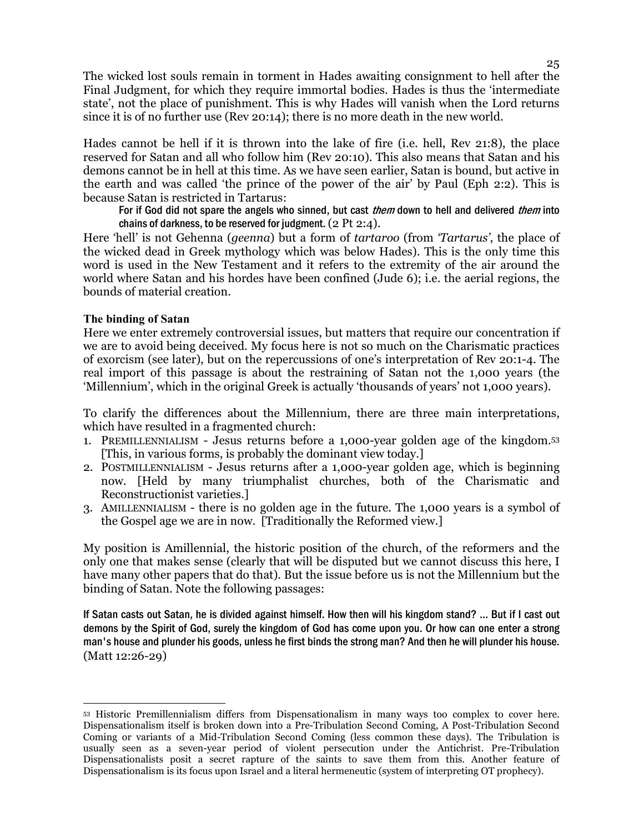The wicked lost souls remain in torment in Hades awaiting consignment to hell after the Final Judgment, for which they require immortal bodies. Hades is thus the 'intermediate state', not the place of punishment. This is why Hades will vanish when the Lord returns since it is of no further use (Rev 20:14); there is no more death in the new world.

Hades cannot be hell if it is thrown into the lake of fire (i.e. hell, Rev 21:8), the place reserved for Satan and all who follow him (Rev 20:10). This also means that Satan and his demons cannot be in hell at this time. As we have seen earlier, Satan is bound, but active in the earth and was called 'the prince of the power of the air' by Paul (Eph 2:2). This is because Satan is restricted in Tartarus:

For if God did not spare the angels who sinned, but cast *them* down to hell and delivered *them* into chains of darkness, to be reserved for judgment.  $(2 \text{ Pt } 2:4)$ .

Here 'hell' is not Gehenna (*geenna*) but a form of *tartaroo* (from *'Tartarus'*, the place of the wicked dead in Greek mythology which was below Hades). This is the only time this word is used in the New Testament and it refers to the extremity of the air around the world where Satan and his hordes have been confined (Jude 6); i.e. the aerial regions, the bounds of material creation.

#### **The binding of Satan**

Here we enter extremely controversial issues, but matters that require our concentration if we are to avoid being deceived. My focus here is not so much on the Charismatic practices of exorcism (see later), but on the repercussions of one's interpretation of Rev 20:1-4. The real import of this passage is about the restraining of Satan not the 1,000 years (the 'Millennium', which in the original Greek is actually 'thousands of years' not 1,000 years).

To clarify the differences about the Millennium, there are three main interpretations, which have resulted in a fragmented church:

- 1. PREMILLENNIALISM Jesus returns before a 1,000-year golden age of the kingdom.<sup>53</sup> [This, in various forms, is probably the dominant view today.]
- 2. POSTMILLENNIALISM Jesus returns after a 1,000-year golden age, which is beginning now. [Held by many triumphalist churches, both of the Charismatic and Reconstructionist varieties.]
- 3. AMILLENNIALISM there is no golden age in the future. The 1,000 years is a symbol of the Gospel age we are in now. [Traditionally the Reformed view.]

My position is Amillennial, the historic position of the church, of the reformers and the only one that makes sense (clearly that will be disputed but we cannot discuss this here, I have many other papers that do that). But the issue before us is not the Millennium but the binding of Satan. Note the following passages:

If Satan casts out Satan, he is divided against himself. How then will his kingdom stand? … But if I cast out demons by the Spirit of God, surely the kingdom of God has come upon you. Or how can one enter a strong man's house and plunder his goods, unless he first binds the strong man? And then he will plunder his house. (Matt 12:26-29)

 $\overline{a}$ <sup>53</sup> Historic Premillennialism differs from Dispensationalism in many ways too complex to cover here. Dispensationalism itself is broken down into a Pre-Tribulation Second Coming, A Post-Tribulation Second Coming or variants of a Mid-Tribulation Second Coming (less common these days). The Tribulation is usually seen as a seven-year period of violent persecution under the Antichrist. Pre-Tribulation Dispensationalists posit a secret rapture of the saints to save them from this. Another feature of Dispensationalism is its focus upon Israel and a literal hermeneutic (system of interpreting OT prophecy).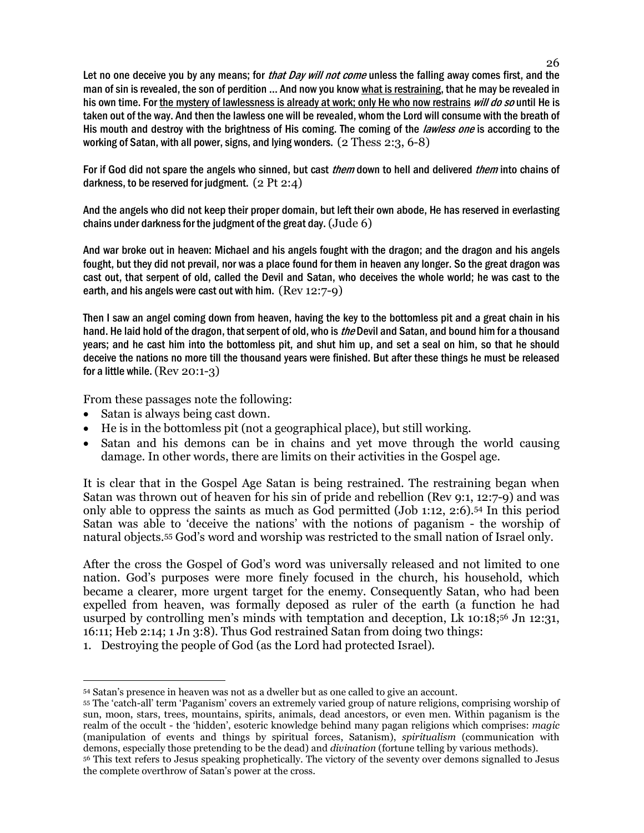Let no one deceive you by any means; for *that Day will not come* unless the falling away comes first, and the man of sin is revealed, the son of perdition ... And now you know what is restraining, that he may be revealed in his own time. For the mystery of lawlessness is already at work; only He who now restrains will do so until He is taken out of the way. And then the lawless one will be revealed, whom the Lord will consume with the breath of His mouth and destroy with the brightness of His coming. The coming of the *lawless one* is according to the working of Satan, with all power, signs, and lying wonders. (2 Thess 2:3, 6-8)

For if God did not spare the angels who sinned, but cast *them* down to hell and delivered *them* into chains of darkness, to be reserved for judgment.  $(2 \text{ Pt } 2:4)$ 

And the angels who did not keep their proper domain, but left their own abode, He has reserved in everlasting chains under darkness for the judgment of the great day.  $(\text{Jude } 6)$ 

And war broke out in heaven: Michael and his angels fought with the dragon; and the dragon and his angels fought, but they did not prevail, nor was a place found for them in heaven any longer. So the great dragon was cast out, that serpent of old, called the Devil and Satan, who deceives the whole world; he was cast to the earth, and his angels were cast out with him. (Rev 12:7-9)

Then I saw an angel coming down from heaven, having the key to the bottomless pit and a great chain in his hand. He laid hold of the dragon, that serpent of old, who is *the* Devil and Satan, and bound him for a thousand years; and he cast him into the bottomless pit, and shut him up, and set a seal on him, so that he should deceive the nations no more till the thousand years were finished. But after these things he must be released for a little while. (Rev 20:1-3)

From these passages note the following:

- Satan is always being cast down.
- He is in the bottomless pit (not a geographical place), but still working.
- Satan and his demons can be in chains and yet move through the world causing damage. In other words, there are limits on their activities in the Gospel age.

It is clear that in the Gospel Age Satan is being restrained. The restraining began when Satan was thrown out of heaven for his sin of pride and rebellion (Rev 9:1, 12:7-9) and was only able to oppress the saints as much as God permitted (Job 1:12, 2:6).54 In this period Satan was able to 'deceive the nations' with the notions of paganism - the worship of natural objects.55 God's word and worship was restricted to the small nation of Israel only.

After the cross the Gospel of God's word was universally released and not limited to one nation. God's purposes were more finely focused in the church, his household, which became a clearer, more urgent target for the enemy. Consequently Satan, who had been expelled from heaven, was formally deposed as ruler of the earth (a function he had usurped by controlling men's minds with temptation and deception, Lk 10:18;56 Jn 12:31, 16:11; Heb 2:14; 1 Jn 3:8). Thus God restrained Satan from doing two things:

<sup>1.</sup> Destroying the people of God (as the Lord had protected Israel).

 $\overline{a}$ <sup>54</sup> Satan's presence in heaven was not as a dweller but as one called to give an account.

<sup>55</sup> The 'catch-all' term 'Paganism' covers an extremely varied group of nature religions, comprising worship of sun, moon, stars, trees, mountains, spirits, animals, dead ancestors, or even men. Within paganism is the realm of the occult - the 'hidden', esoteric knowledge behind many pagan religions which comprises: *magic* (manipulation of events and things by spiritual forces, Satanism), *spiritualism* (communication with demons, especially those pretending to be the dead) and *divination* (fortune telling by various methods). <sup>56</sup> This text refers to Jesus speaking prophetically. The victory of the seventy over demons signalled to Jesus the complete overthrow of Satan's power at the cross.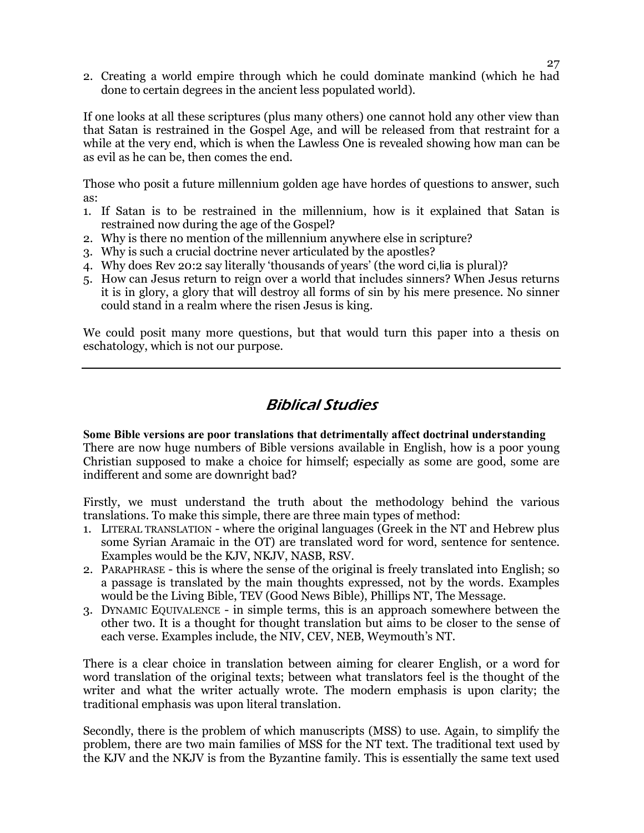2. Creating a world empire through which he could dominate mankind (which he had done to certain degrees in the ancient less populated world).

If one looks at all these scriptures (plus many others) one cannot hold any other view than that Satan is restrained in the Gospel Age, and will be released from that restraint for a while at the very end, which is when the Lawless One is revealed showing how man can be as evil as he can be, then comes the end.

Those who posit a future millennium golden age have hordes of questions to answer, such as:

- 1. If Satan is to be restrained in the millennium, how is it explained that Satan is restrained now during the age of the Gospel?
- 2. Why is there no mention of the millennium anywhere else in scripture?
- 3. Why is such a crucial doctrine never articulated by the apostles?
- 4. Why does Rev 20:2 say literally 'thousands of years' (the word ci,lia is plural)?
- 5. How can Jesus return to reign over a world that includes sinners? When Jesus returns it is in glory, a glory that will destroy all forms of sin by his mere presence. No sinner could stand in a realm where the risen Jesus is king.

We could posit many more questions, but that would turn this paper into a thesis on eschatology, which is not our purpose.

## Biblical Studies

**Some Bible versions are poor translations that detrimentally affect doctrinal understanding**  There are now huge numbers of Bible versions available in English, how is a poor young Christian supposed to make a choice for himself; especially as some are good, some are indifferent and some are downright bad?

Firstly, we must understand the truth about the methodology behind the various translations. To make this simple, there are three main types of method:

- 1. LITERAL TRANSLATION where the original languages (Greek in the NT and Hebrew plus some Syrian Aramaic in the OT) are translated word for word, sentence for sentence. Examples would be the KJV, NKJV, NASB, RSV.
- 2. PARAPHRASE this is where the sense of the original is freely translated into English; so a passage is translated by the main thoughts expressed, not by the words. Examples would be the Living Bible, TEV (Good News Bible), Phillips NT, The Message.
- 3. DYNAMIC EQUIVALENCE in simple terms, this is an approach somewhere between the other two. It is a thought for thought translation but aims to be closer to the sense of each verse. Examples include, the NIV, CEV, NEB, Weymouth's NT.

There is a clear choice in translation between aiming for clearer English, or a word for word translation of the original texts; between what translators feel is the thought of the writer and what the writer actually wrote. The modern emphasis is upon clarity; the traditional emphasis was upon literal translation.

Secondly, there is the problem of which manuscripts (MSS) to use. Again, to simplify the problem, there are two main families of MSS for the NT text. The traditional text used by the KJV and the NKJV is from the Byzantine family. This is essentially the same text used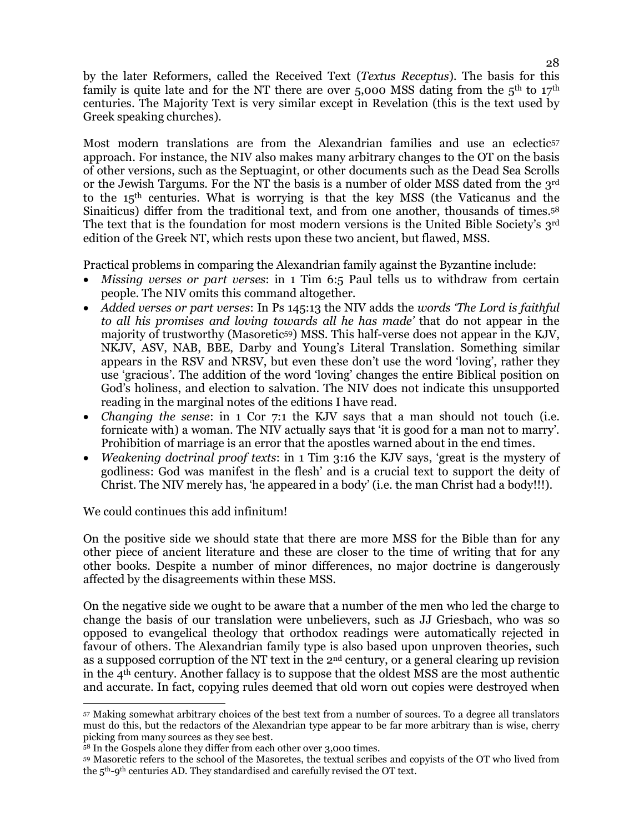by the later Reformers, called the Received Text (*Textus Receptus*). The basis for this family is quite late and for the NT there are over  $5,000$  MSS dating from the  $5<sup>th</sup>$  to  $17<sup>th</sup>$ centuries. The Majority Text is very similar except in Revelation (this is the text used by Greek speaking churches).

Most modern translations are from the Alexandrian families and use an eclectic<sup>57</sup> approach. For instance, the NIV also makes many arbitrary changes to the OT on the basis of other versions, such as the Septuagint, or other documents such as the Dead Sea Scrolls or the Jewish Targums. For the NT the basis is a number of older MSS dated from the  $3<sup>rd</sup>$ to the 15th centuries. What is worrying is that the key MSS (the Vaticanus and the Sinaiticus) differ from the traditional text, and from one another, thousands of times.<sup>58</sup> The text that is the foundation for most modern versions is the United Bible Society's 3rd edition of the Greek NT, which rests upon these two ancient, but flawed, MSS.

Practical problems in comparing the Alexandrian family against the Byzantine include:

- *Missing verses or part verses*: in 1 Tim 6:5 Paul tells us to withdraw from certain people. The NIV omits this command altogether.
- *Added verses or part verses*: In Ps 145:13 the NIV adds the *words 'The Lord is faithful to all his promises and loving towards all he has made'* that do not appear in the majority of trustworthy (Masoretic<sup>59</sup>) MSS. This half-verse does not appear in the KJV, NKJV, ASV, NAB, BBE, Darby and Young's Literal Translation. Something similar appears in the RSV and NRSV, but even these don't use the word 'loving', rather they use 'gracious'. The addition of the word 'loving' changes the entire Biblical position on God's holiness, and election to salvation. The NIV does not indicate this unsupported reading in the marginal notes of the editions I have read.
- *Changing the sense*: in 1 Cor 7:1 the KJV says that a man should not touch (i.e. fornicate with) a woman. The NIV actually says that 'it is good for a man not to marry'. Prohibition of marriage is an error that the apostles warned about in the end times.
- *Weakening doctrinal proof texts*: in 1 Tim 3:16 the KJV says, 'great is the mystery of godliness: God was manifest in the flesh' and is a crucial text to support the deity of Christ. The NIV merely has, 'he appeared in a body' (i.e. the man Christ had a body!!!).

We could continues this add infinitum!

On the positive side we should state that there are more MSS for the Bible than for any other piece of ancient literature and these are closer to the time of writing that for any other books. Despite a number of minor differences, no major doctrine is dangerously affected by the disagreements within these MSS.

On the negative side we ought to be aware that a number of the men who led the charge to change the basis of our translation were unbelievers, such as JJ Griesbach, who was so opposed to evangelical theology that orthodox readings were automatically rejected in favour of others. The Alexandrian family type is also based upon unproven theories, such as a supposed corruption of the NT text in the  $2<sup>nd</sup>$  century, or a general clearing up revision in the 4th century. Another fallacy is to suppose that the oldest MSS are the most authentic and accurate. In fact, copying rules deemed that old worn out copies were destroyed when

 $\overline{a}$ <sup>57</sup> Making somewhat arbitrary choices of the best text from a number of sources. To a degree all translators must do this, but the redactors of the Alexandrian type appear to be far more arbitrary than is wise, cherry picking from many sources as they see best.

<sup>58</sup> In the Gospels alone they differ from each other over 3,000 times.

<sup>59</sup> Masoretic refers to the school of the Masoretes, the textual scribes and copyists of the OT who lived from the 5th-9th centuries AD. They standardised and carefully revised the OT text.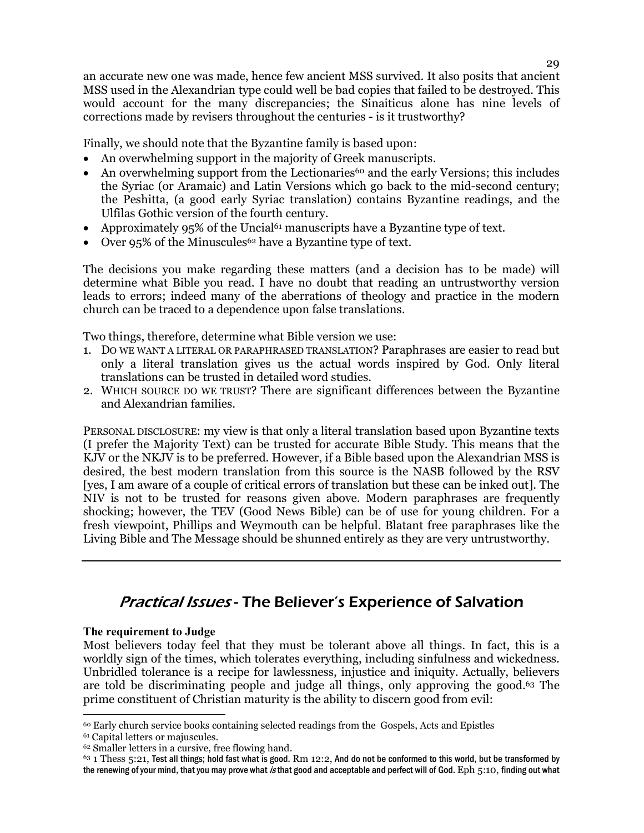an accurate new one was made, hence few ancient MSS survived. It also posits that ancient MSS used in the Alexandrian type could well be bad copies that failed to be destroyed. This would account for the many discrepancies; the Sinaiticus alone has nine levels of corrections made by revisers throughout the centuries - is it trustworthy?

Finally, we should note that the Byzantine family is based upon:

- An overwhelming support in the majority of Greek manuscripts.
- An overwhelming support from the Lectionaries<sup>60</sup> and the early Versions; this includes the Syriac (or Aramaic) and Latin Versions which go back to the mid-second century; the Peshitta, (a good early Syriac translation) contains Byzantine readings, and the Ulfilas Gothic version of the fourth century.
- Approximately  $95\%$  of the Uncial<sup> $61$ </sup> manuscripts have a Byzantine type of text.
- Over 95% of the Minuscules<sup>62</sup> have a Byzantine type of text.

The decisions you make regarding these matters (and a decision has to be made) will determine what Bible you read. I have no doubt that reading an untrustworthy version leads to errors; indeed many of the aberrations of theology and practice in the modern church can be traced to a dependence upon false translations.

Two things, therefore, determine what Bible version we use:

- 1. DO WE WANT A LITERAL OR PARAPHRASED TRANSLATION? Paraphrases are easier to read but only a literal translation gives us the actual words inspired by God. Only literal translations can be trusted in detailed word studies.
- 2. WHICH SOURCE DO WE TRUST? There are significant differences between the Byzantine and Alexandrian families.

PERSONAL DISCLOSURE: my view is that only a literal translation based upon Byzantine texts (I prefer the Majority Text) can be trusted for accurate Bible Study. This means that the KJV or the NKJV is to be preferred. However, if a Bible based upon the Alexandrian MSS is desired, the best modern translation from this source is the NASB followed by the RSV [yes, I am aware of a couple of critical errors of translation but these can be inked out]. The NIV is not to be trusted for reasons given above. Modern paraphrases are frequently shocking; however, the TEV (Good News Bible) can be of use for young children. For a fresh viewpoint, Phillips and Weymouth can be helpful. Blatant free paraphrases like the Living Bible and The Message should be shunned entirely as they are very untrustworthy.

## Practical Issues - The Believer's Experience of Salvation

#### **The requirement to Judge**

Most believers today feel that they must be tolerant above all things. In fact, this is a worldly sign of the times, which tolerates everything, including sinfulness and wickedness. Unbridled tolerance is a recipe for lawlessness, injustice and iniquity. Actually, believers are told be discriminating people and judge all things, only approving the good.63 The prime constituent of Christian maturity is the ability to discern good from evil:

 $\overline{a}$ <sup>60</sup> Early church service books containing selected readings from the Gospels, Acts and Epistles

<sup>61</sup> Capital letters or majuscules.

<sup>62</sup> Smaller letters in a cursive, free flowing hand.

 $63$  1 Thess  $5:21$ , Test all things; hold fast what is good. Rm 12:2, And do not be conformed to this world, but be transformed by the renewing of your mind, that you may prove what is that good and acceptable and perfect will of God. Eph 5:10, finding out what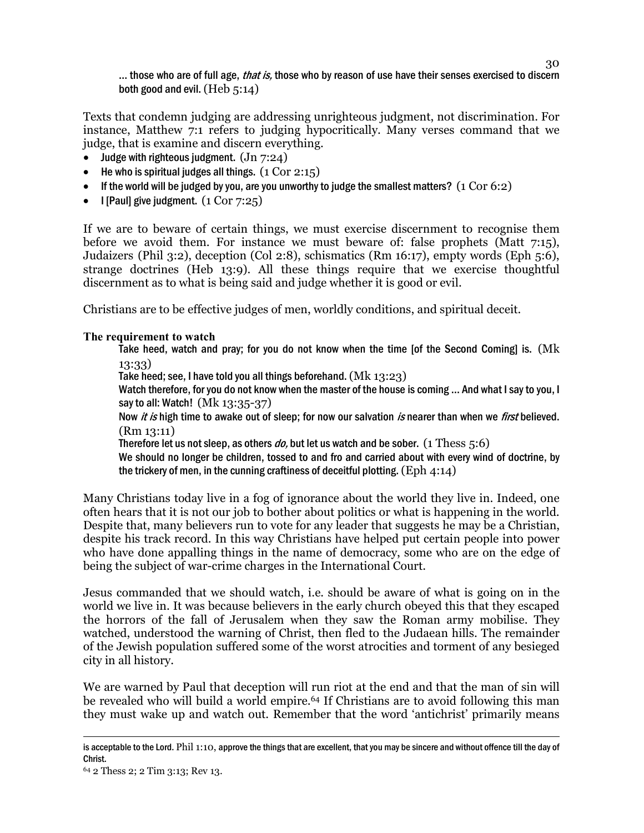30 ... those who are of full age, *that is*, those who by reason of use have their senses exercised to discern both good and evil. (Heb 5:14)

Texts that condemn judging are addressing unrighteous judgment, not discrimination. For instance, Matthew 7:1 refers to judging hypocritically. Many verses command that we judge, that is examine and discern everything.

- Judge with righteous judgment.  $($ Jn  $7:24)$
- He who is spiritual judges all things.  $(1 \text{ Cor } 2:15)$
- If the world will be judged by you, are you unworthy to judge the smallest matters?  $(1 \text{ Cor } 6:2)$
- I [Paul] give judgment.  $(1 \text{ Cor } 7:25)$

If we are to beware of certain things, we must exercise discernment to recognise them before we avoid them. For instance we must beware of: false prophets (Matt 7:15), Judaizers (Phil 3:2), deception (Col 2:8), schismatics (Rm 16:17), empty words (Eph 5:6), strange doctrines (Heb 13:9). All these things require that we exercise thoughtful discernment as to what is being said and judge whether it is good or evil.

Christians are to be effective judges of men, worldly conditions, and spiritual deceit.

### **The requirement to watch**

Take heed, watch and pray; for you do not know when the time [of the Second Coming] is. (Mk 13:33)

Take heed; see, I have told you all things beforehand. (Mk 13:23)

Watch therefore, for you do not know when the master of the house is coming … And what I say to you, I say to all: Watch! (Mk 13:35-37)

Now *it is* high time to awake out of sleep; for now our salvation *is* nearer than when we *first* believed. (Rm 13:11)

Therefore let us not sleep, as others  $do$ , but let us watch and be sober. (1 Thess  $5:6$ )

We should no longer be children, tossed to and fro and carried about with every wind of doctrine, by the trickery of men, in the cunning craftiness of deceitful plotting.  $(Eph 4:14)$ 

Many Christians today live in a fog of ignorance about the world they live in. Indeed, one often hears that it is not our job to bother about politics or what is happening in the world. Despite that, many believers run to vote for any leader that suggests he may be a Christian, despite his track record. In this way Christians have helped put certain people into power who have done appalling things in the name of democracy, some who are on the edge of being the subject of war-crime charges in the International Court.

Jesus commanded that we should watch, i.e. should be aware of what is going on in the world we live in. It was because believers in the early church obeyed this that they escaped the horrors of the fall of Jerusalem when they saw the Roman army mobilise. They watched, understood the warning of Christ, then fled to the Judaean hills. The remainder of the Jewish population suffered some of the worst atrocities and torment of any besieged city in all history.

We are warned by Paul that deception will run riot at the end and that the man of sin will be revealed who will build a world empire.64 If Christians are to avoid following this man they must wake up and watch out. Remember that the word 'antichrist' primarily means

 $\overline{a}$ is acceptable to the Lord. Phil 1:10, approve the things that are excellent, that you may be sincere and without offence till the day of Christ.

<sup>64</sup> 2 Thess 2; 2 Tim 3:13; Rev 13.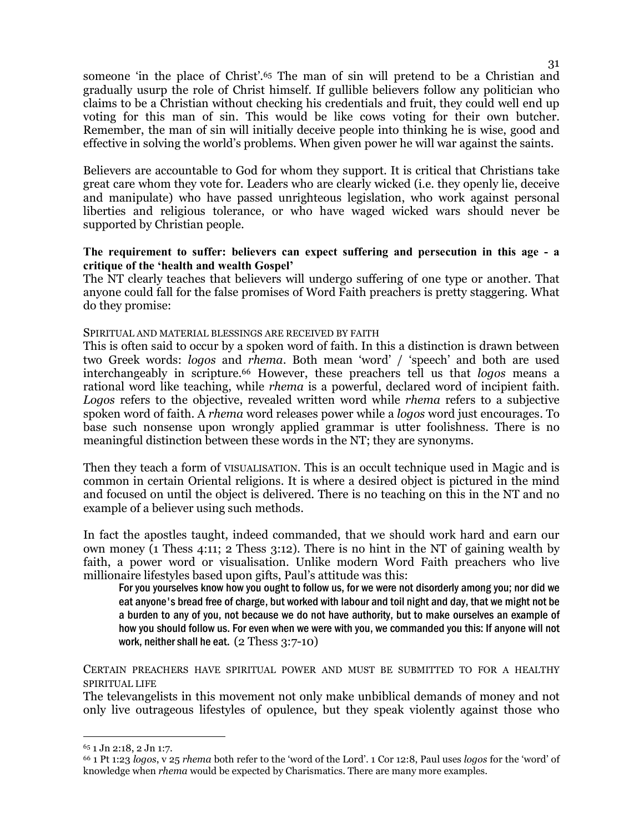someone 'in the place of Christ'.65 The man of sin will pretend to be a Christian and gradually usurp the role of Christ himself. If gullible believers follow any politician who claims to be a Christian without checking his credentials and fruit, they could well end up voting for this man of sin. This would be like cows voting for their own butcher. Remember, the man of sin will initially deceive people into thinking he is wise, good and effective in solving the world's problems. When given power he will war against the saints.

Believers are accountable to God for whom they support. It is critical that Christians take great care whom they vote for. Leaders who are clearly wicked (i.e. they openly lie, deceive and manipulate) who have passed unrighteous legislation, who work against personal liberties and religious tolerance, or who have waged wicked wars should never be supported by Christian people.

### **The requirement to suffer: believers can expect suffering and persecution in this age - a critique of the 'health and wealth Gospel'**

The NT clearly teaches that believers will undergo suffering of one type or another. That anyone could fall for the false promises of Word Faith preachers is pretty staggering. What do they promise:

#### SPIRITUAL AND MATERIAL BLESSINGS ARE RECEIVED BY FAITH

This is often said to occur by a spoken word of faith. In this a distinction is drawn between two Greek words: *logos* and *rhema*. Both mean 'word' / 'speech' and both are used interchangeably in scripture.66 However, these preachers tell us that *logos* means a rational word like teaching, while *rhema* is a powerful, declared word of incipient faith. *Logos* refers to the objective, revealed written word while *rhema* refers to a subjective spoken word of faith. A *rhema* word releases power while a *logos* word just encourages. To base such nonsense upon wrongly applied grammar is utter foolishness. There is no meaningful distinction between these words in the NT; they are synonyms.

Then they teach a form of VISUALISATION. This is an occult technique used in Magic and is common in certain Oriental religions. It is where a desired object is pictured in the mind and focused on until the object is delivered. There is no teaching on this in the NT and no example of a believer using such methods.

In fact the apostles taught, indeed commanded, that we should work hard and earn our own money (1 Thess 4:11; 2 Thess 3:12). There is no hint in the NT of gaining wealth by faith, a power word or visualisation. Unlike modern Word Faith preachers who live millionaire lifestyles based upon gifts, Paul's attitude was this:

For you yourselves know how you ought to follow us, for we were not disorderly among you; nor did we eat anyone's bread free of charge, but worked with labour and toil night and day, that we might not be a burden to any of you, not because we do not have authority, but to make ourselves an example of how you should follow us. For even when we were with you, we commanded you this: If anyone will not work, neither shall he eat. (2 Thess 3:7-10)

CERTAIN PREACHERS HAVE SPIRITUAL POWER AND MUST BE SUBMITTED TO FOR A HEALTHY SPIRITUAL LIFE

The televangelists in this movement not only make unbiblical demands of money and not only live outrageous lifestyles of opulence, but they speak violently against those who

 $\overline{a}$ 

<sup>65</sup> 1 Jn 2:18, 2 Jn 1:7.

<sup>66</sup> 1 Pt 1:23 *logos*, v 25 *rhema* both refer to the 'word of the Lord'. 1 Cor 12:8, Paul uses *logos* for the 'word' of knowledge when *rhema* would be expected by Charismatics. There are many more examples.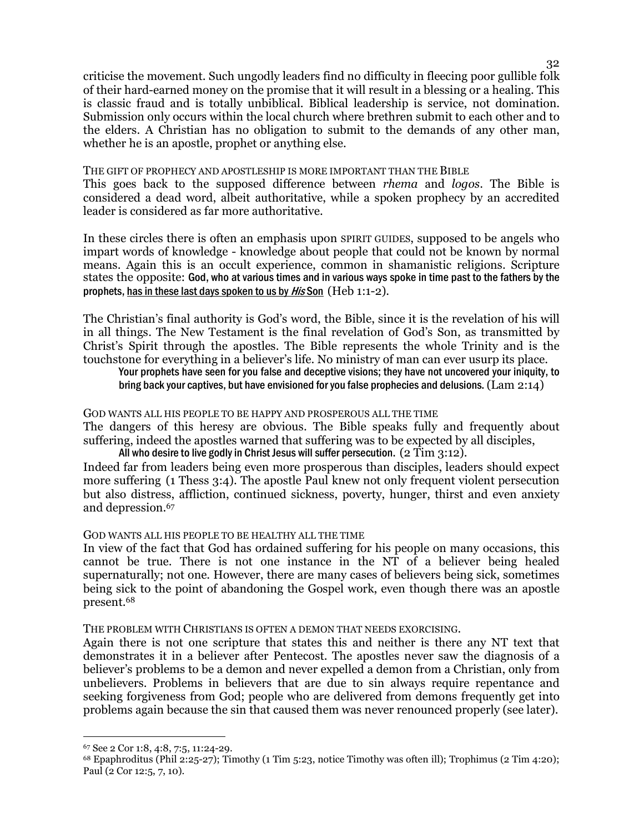criticise the movement. Such ungodly leaders find no difficulty in fleecing poor gullible folk of their hard-earned money on the promise that it will result in a blessing or a healing. This is classic fraud and is totally unbiblical. Biblical leadership is service, not domination. Submission only occurs within the local church where brethren submit to each other and to the elders. A Christian has no obligation to submit to the demands of any other man, whether he is an apostle, prophet or anything else.

#### THE GIFT OF PROPHECY AND APOSTLESHIP IS MORE IMPORTANT THAN THE BIBLE

This goes back to the supposed difference between *rhema* and *logos*. The Bible is considered a dead word, albeit authoritative, while a spoken prophecy by an accredited leader is considered as far more authoritative.

In these circles there is often an emphasis upon SPIRIT GUIDES, supposed to be angels who impart words of knowledge - knowledge about people that could not be known by normal means. Again this is an occult experience, common in shamanistic religions. Scripture states the opposite: God, who at various times and in various ways spoke in time past to the fathers by the prophets, has in these last days spoken to us by *His* Son (Heb 1:1-2).

The Christian's final authority is God's word, the Bible, since it is the revelation of his will in all things. The New Testament is the final revelation of God's Son, as transmitted by Christ's Spirit through the apostles. The Bible represents the whole Trinity and is the touchstone for everything in a believer's life. No ministry of man can ever usurp its place.

Your prophets have seen for you false and deceptive visions; they have not uncovered your iniquity, to bring back your captives, but have envisioned for you false prophecies and delusions. (Lam 2:14)

#### GOD WANTS ALL HIS PEOPLE TO BE HAPPY AND PROSPEROUS ALL THE TIME

The dangers of this heresy are obvious. The Bible speaks fully and frequently about suffering, indeed the apostles warned that suffering was to be expected by all disciples, All who desire to live godly in Christ Jesus will suffer persecution.  $(2 \text{ Tim } 3:12)$ .

Indeed far from leaders being even more prosperous than disciples, leaders should expect more suffering (1 Thess 3:4). The apostle Paul knew not only frequent violent persecution but also distress, affliction, continued sickness, poverty, hunger, thirst and even anxiety and depression.<sup>67</sup>

#### GOD WANTS ALL HIS PEOPLE TO BE HEALTHY ALL THE TIME

In view of the fact that God has ordained suffering for his people on many occasions, this cannot be true. There is not one instance in the NT of a believer being healed supernaturally; not one. However, there are many cases of believers being sick, sometimes being sick to the point of abandoning the Gospel work, even though there was an apostle present.<sup>68</sup>

THE PROBLEM WITH CHRISTIANS IS OFTEN A DEMON THAT NEEDS EXORCISING.

Again there is not one scripture that states this and neither is there any NT text that demonstrates it in a believer after Pentecost. The apostles never saw the diagnosis of a believer's problems to be a demon and never expelled a demon from a Christian, only from unbelievers. Problems in believers that are due to sin always require repentance and seeking forgiveness from God; people who are delivered from demons frequently get into problems again because the sin that caused them was never renounced properly (see later).

 $\overline{a}$ 

<sup>67</sup> See 2 Cor 1:8, 4:8, 7:5, 11:24-29.

 $68$  Epaphroditus (Phil 2:25-27); Timothy (1 Tim 5:23, notice Timothy was often ill); Trophimus (2 Tim 4:20); Paul (2 Cor 12:5, 7, 10).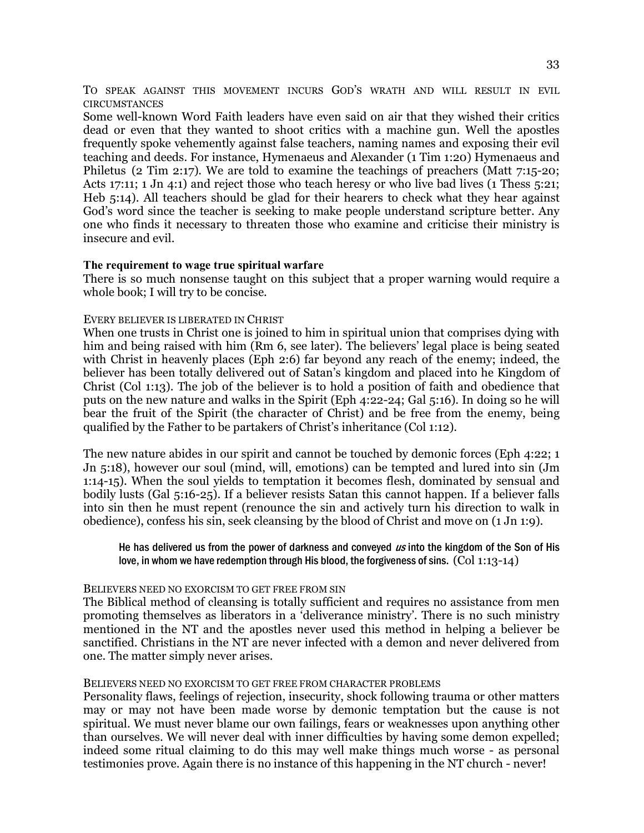TO SPEAK AGAINST THIS MOVEMENT INCURS GOD'S WRATH AND WILL RESULT IN EVIL **CIRCUMSTANCES** 

Some well-known Word Faith leaders have even said on air that they wished their critics dead or even that they wanted to shoot critics with a machine gun. Well the apostles frequently spoke vehemently against false teachers, naming names and exposing their evil teaching and deeds. For instance, Hymenaeus and Alexander (1 Tim 1:20) Hymenaeus and Philetus (2 Tim 2:17). We are told to examine the teachings of preachers (Matt 7:15-20; Acts 17:11; 1 Jn 4:1) and reject those who teach heresy or who live bad lives (1 Thess 5:21; Heb 5:14). All teachers should be glad for their hearers to check what they hear against God's word since the teacher is seeking to make people understand scripture better. Any one who finds it necessary to threaten those who examine and criticise their ministry is insecure and evil.

#### **The requirement to wage true spiritual warfare**

There is so much nonsense taught on this subject that a proper warning would require a whole book; I will try to be concise.

#### EVERY BELIEVER IS LIBERATED IN CHRIST

When one trusts in Christ one is joined to him in spiritual union that comprises dying with him and being raised with him (Rm 6, see later). The believers' legal place is being seated with Christ in heavenly places (Eph 2:6) far beyond any reach of the enemy; indeed, the believer has been totally delivered out of Satan's kingdom and placed into he Kingdom of Christ (Col 1:13). The job of the believer is to hold a position of faith and obedience that puts on the new nature and walks in the Spirit (Eph 4:22-24; Gal 5:16). In doing so he will bear the fruit of the Spirit (the character of Christ) and be free from the enemy, being qualified by the Father to be partakers of Christ's inheritance (Col 1:12).

The new nature abides in our spirit and cannot be touched by demonic forces (Eph 4:22; 1 Jn 5:18), however our soul (mind, will, emotions) can be tempted and lured into sin (Jm 1:14-15). When the soul yields to temptation it becomes flesh, dominated by sensual and bodily lusts (Gal 5:16-25). If a believer resists Satan this cannot happen. If a believer falls into sin then he must repent (renounce the sin and actively turn his direction to walk in obedience), confess his sin, seek cleansing by the blood of Christ and move on (1 Jn 1:9).

#### He has delivered us from the power of darkness and conveyed  $us$  into the kingdom of the Son of His love, in whom we have redemption through His blood, the forgiveness of sins. (Col 1:13-14)

#### BELIEVERS NEED NO EXORCISM TO GET FREE FROM SIN

The Biblical method of cleansing is totally sufficient and requires no assistance from men promoting themselves as liberators in a 'deliverance ministry'. There is no such ministry mentioned in the NT and the apostles never used this method in helping a believer be sanctified. Christians in the NT are never infected with a demon and never delivered from one. The matter simply never arises.

#### BELIEVERS NEED NO EXORCISM TO GET FREE FROM CHARACTER PROBLEMS

Personality flaws, feelings of rejection, insecurity, shock following trauma or other matters may or may not have been made worse by demonic temptation but the cause is not spiritual. We must never blame our own failings, fears or weaknesses upon anything other than ourselves. We will never deal with inner difficulties by having some demon expelled; indeed some ritual claiming to do this may well make things much worse - as personal testimonies prove. Again there is no instance of this happening in the NT church - never!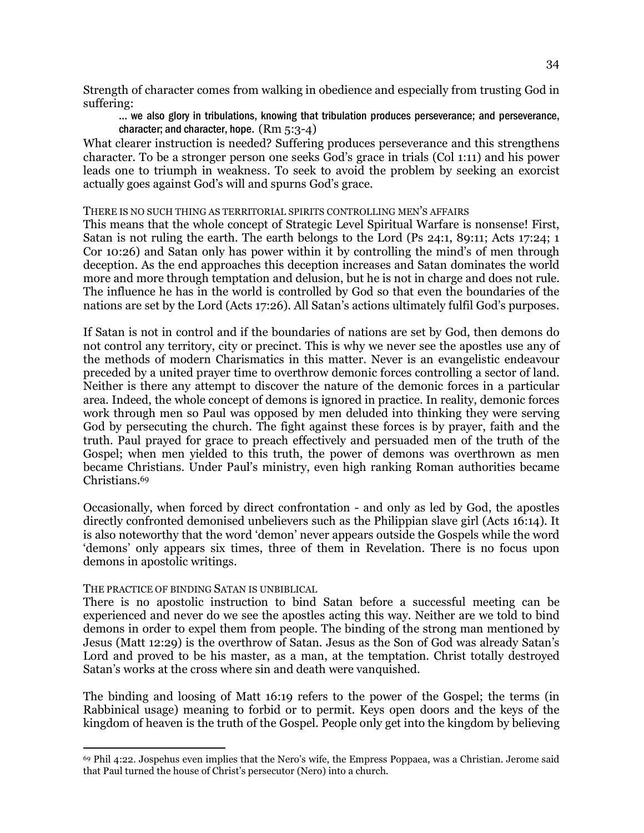Strength of character comes from walking in obedience and especially from trusting God in suffering:

… we also glory in tribulations, knowing that tribulation produces perseverance; and perseverance, character; and character, hope. (Rm 5:3-4)

What clearer instruction is needed? Suffering produces perseverance and this strengthens character. To be a stronger person one seeks God's grace in trials (Col 1:11) and his power leads one to triumph in weakness. To seek to avoid the problem by seeking an exorcist actually goes against God's will and spurns God's grace.

#### THERE IS NO SUCH THING AS TERRITORIAL SPIRITS CONTROLLING MEN'S AFFAIRS

This means that the whole concept of Strategic Level Spiritual Warfare is nonsense! First, Satan is not ruling the earth. The earth belongs to the Lord (Ps 24:1, 89:11; Acts 17:24; 1 Cor 10:26) and Satan only has power within it by controlling the mind's of men through deception. As the end approaches this deception increases and Satan dominates the world more and more through temptation and delusion, but he is not in charge and does not rule. The influence he has in the world is controlled by God so that even the boundaries of the nations are set by the Lord (Acts 17:26). All Satan's actions ultimately fulfil God's purposes.

If Satan is not in control and if the boundaries of nations are set by God, then demons do not control any territory, city or precinct. This is why we never see the apostles use any of the methods of modern Charismatics in this matter. Never is an evangelistic endeavour preceded by a united prayer time to overthrow demonic forces controlling a sector of land. Neither is there any attempt to discover the nature of the demonic forces in a particular area. Indeed, the whole concept of demons is ignored in practice. In reality, demonic forces work through men so Paul was opposed by men deluded into thinking they were serving God by persecuting the church. The fight against these forces is by prayer, faith and the truth. Paul prayed for grace to preach effectively and persuaded men of the truth of the Gospel; when men yielded to this truth, the power of demons was overthrown as men became Christians. Under Paul's ministry, even high ranking Roman authorities became Christians.<sup>69</sup>

Occasionally, when forced by direct confrontation - and only as led by God, the apostles directly confronted demonised unbelievers such as the Philippian slave girl (Acts 16:14). It is also noteworthy that the word 'demon' never appears outside the Gospels while the word 'demons' only appears six times, three of them in Revelation. There is no focus upon demons in apostolic writings.

#### THE PRACTICE OF BINDING SATAN IS UNBIBLICAL

**-**

There is no apostolic instruction to bind Satan before a successful meeting can be experienced and never do we see the apostles acting this way. Neither are we told to bind demons in order to expel them from people. The binding of the strong man mentioned by Jesus (Matt 12:29) is the overthrow of Satan. Jesus as the Son of God was already Satan's Lord and proved to be his master, as a man, at the temptation. Christ totally destroyed Satan's works at the cross where sin and death were vanquished.

The binding and loosing of Matt 16:19 refers to the power of the Gospel; the terms (in Rabbinical usage) meaning to forbid or to permit. Keys open doors and the keys of the kingdom of heaven is the truth of the Gospel. People only get into the kingdom by believing

<sup>69</sup> Phil 4:22. Jospehus even implies that the Nero's wife, the Empress Poppaea, was a Christian. Jerome said that Paul turned the house of Christ's persecutor (Nero) into a church.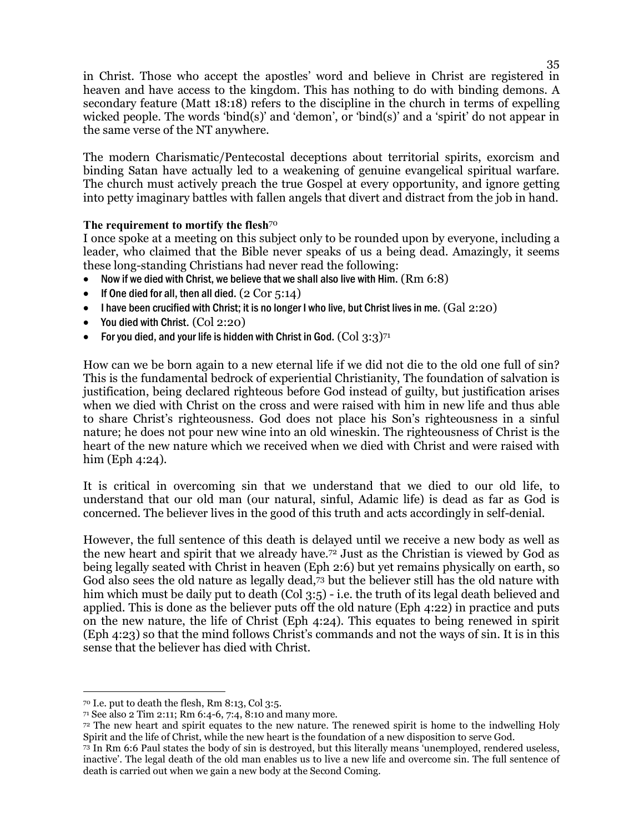in Christ. Those who accept the apostles' word and believe in Christ are registered in heaven and have access to the kingdom. This has nothing to do with binding demons. A secondary feature (Matt 18:18) refers to the discipline in the church in terms of expelling wicked people. The words 'bind(s)' and 'demon', or 'bind(s)' and a 'spirit' do not appear in the same verse of the NT anywhere.

The modern Charismatic/Pentecostal deceptions about territorial spirits, exorcism and binding Satan have actually led to a weakening of genuine evangelical spiritual warfare. The church must actively preach the true Gospel at every opportunity, and ignore getting into petty imaginary battles with fallen angels that divert and distract from the job in hand.

### **The requirement to mortify the flesh**<sup>70</sup>

I once spoke at a meeting on this subject only to be rounded upon by everyone, including a leader, who claimed that the Bible never speaks of us a being dead. Amazingly, it seems these long-standing Christians had never read the following:

- Now if we died with Christ, we believe that we shall also live with Him.  $(Rm 6:8)$
- If One died for all, then all died.  $(2 Cor 5:14)$
- I have been crucified with Christ; it is no longer I who live, but Christ lives in me.  $(Gal 2:20)$
- You died with Christ.  $(Col 2:20)$
- For you died, and your life is hidden with Christ in God.  $(Col 3:3)$ <sup>71</sup>

How can we be born again to a new eternal life if we did not die to the old one full of sin? This is the fundamental bedrock of experiential Christianity, The foundation of salvation is justification, being declared righteous before God instead of guilty, but justification arises when we died with Christ on the cross and were raised with him in new life and thus able to share Christ's righteousness. God does not place his Son's righteousness in a sinful nature; he does not pour new wine into an old wineskin. The righteousness of Christ is the heart of the new nature which we received when we died with Christ and were raised with him (Eph 4:24).

It is critical in overcoming sin that we understand that we died to our old life, to understand that our old man (our natural, sinful, Adamic life) is dead as far as God is concerned. The believer lives in the good of this truth and acts accordingly in self-denial.

However, the full sentence of this death is delayed until we receive a new body as well as the new heart and spirit that we already have.72 Just as the Christian is viewed by God as being legally seated with Christ in heaven (Eph 2:6) but yet remains physically on earth, so God also sees the old nature as legally dead,73 but the believer still has the old nature with him which must be daily put to death (Col 3:5) - i.e. the truth of its legal death believed and applied. This is done as the believer puts off the old nature (Eph 4:22) in practice and puts on the new nature, the life of Christ (Eph 4:24). This equates to being renewed in spirit (Eph 4:23) so that the mind follows Christ's commands and not the ways of sin. It is in this sense that the believer has died with Christ.

 $\overline{a}$ 

<sup>70</sup> I.e. put to death the flesh, Rm 8:13, Col 3:5.

<sup>71</sup> See also 2 Tim 2:11; Rm 6:4-6, 7:4, 8:10 and many more.

<sup>72</sup> The new heart and spirit equates to the new nature. The renewed spirit is home to the indwelling Holy Spirit and the life of Christ, while the new heart is the foundation of a new disposition to serve God.

<sup>73</sup> In Rm 6:6 Paul states the body of sin is destroyed, but this literally means 'unemployed, rendered useless, inactive'. The legal death of the old man enables us to live a new life and overcome sin. The full sentence of death is carried out when we gain a new body at the Second Coming.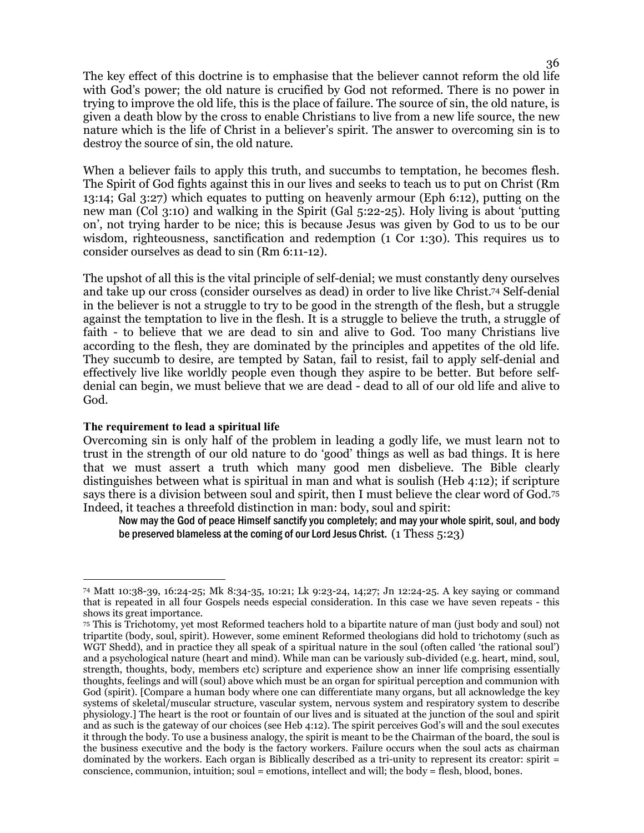The key effect of this doctrine is to emphasise that the believer cannot reform the old life with God's power; the old nature is crucified by God not reformed. There is no power in trying to improve the old life, this is the place of failure. The source of sin, the old nature, is given a death blow by the cross to enable Christians to live from a new life source, the new nature which is the life of Christ in a believer's spirit. The answer to overcoming sin is to destroy the source of sin, the old nature.

When a believer fails to apply this truth, and succumbs to temptation, he becomes flesh. The Spirit of God fights against this in our lives and seeks to teach us to put on Christ (Rm 13:14; Gal 3:27) which equates to putting on heavenly armour (Eph 6:12), putting on the new man (Col 3:10) and walking in the Spirit (Gal 5:22-25). Holy living is about 'putting on', not trying harder to be nice; this is because Jesus was given by God to us to be our wisdom, righteousness, sanctification and redemption (1 Cor 1:30). This requires us to consider ourselves as dead to sin (Rm 6:11-12).

The upshot of all this is the vital principle of self-denial; we must constantly deny ourselves and take up our cross (consider ourselves as dead) in order to live like Christ.74 Self-denial in the believer is not a struggle to try to be good in the strength of the flesh, but a struggle against the temptation to live in the flesh. It is a struggle to believe the truth, a struggle of faith - to believe that we are dead to sin and alive to God. Too many Christians live according to the flesh, they are dominated by the principles and appetites of the old life. They succumb to desire, are tempted by Satan, fail to resist, fail to apply self-denial and effectively live like worldly people even though they aspire to be better. But before selfdenial can begin, we must believe that we are dead - dead to all of our old life and alive to God.

#### **The requirement to lead a spiritual life**

 $\overline{a}$ 

Overcoming sin is only half of the problem in leading a godly life, we must learn not to trust in the strength of our old nature to do 'good' things as well as bad things. It is here that we must assert a truth which many good men disbelieve. The Bible clearly distinguishes between what is spiritual in man and what is soulish (Heb 4:12); if scripture says there is a division between soul and spirit, then I must believe the clear word of God.<sup>75</sup> Indeed, it teaches a threefold distinction in man: body, soul and spirit:

Now may the God of peace Himself sanctify you completely; and may your whole spirit, soul, and body be preserved blameless at the coming of our Lord Jesus Christ. (1 Thess 5:23)

<sup>74</sup> Matt 10:38-39, 16:24-25; Mk 8:34-35, 10:21; Lk 9:23-24, 14;27; Jn 12:24-25. A key saying or command that is repeated in all four Gospels needs especial consideration. In this case we have seven repeats - this shows its great importance.

<sup>75</sup> This is Trichotomy, yet most Reformed teachers hold to a bipartite nature of man (just body and soul) not tripartite (body, soul, spirit). However, some eminent Reformed theologians did hold to trichotomy (such as WGT Shedd), and in practice they all speak of a spiritual nature in the soul (often called 'the rational soul') and a psychological nature (heart and mind). While man can be variously sub-divided (e.g. heart, mind, soul, strength, thoughts, body, members etc) scripture and experience show an inner life comprising essentially thoughts, feelings and will (soul) above which must be an organ for spiritual perception and communion with God (spirit). [Compare a human body where one can differentiate many organs, but all acknowledge the key systems of skeletal/muscular structure, vascular system, nervous system and respiratory system to describe physiology.] The heart is the root or fountain of our lives and is situated at the junction of the soul and spirit and as such is the gateway of our choices (see Heb 4:12). The spirit perceives God's will and the soul executes it through the body. To use a business analogy, the spirit is meant to be the Chairman of the board, the soul is the business executive and the body is the factory workers. Failure occurs when the soul acts as chairman dominated by the workers. Each organ is Biblically described as a tri-unity to represent its creator: spirit = conscience, communion, intuition; soul = emotions, intellect and will; the body = flesh, blood, bones.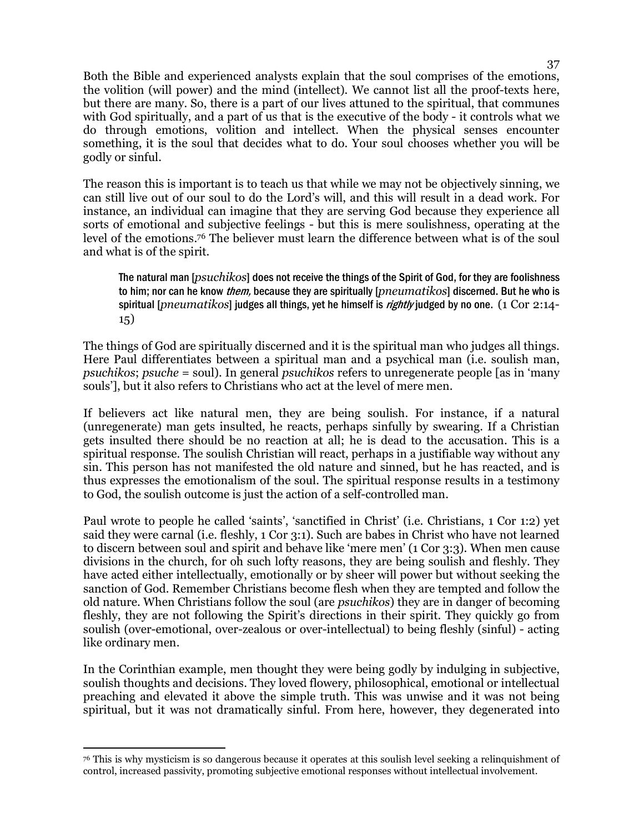Both the Bible and experienced analysts explain that the soul comprises of the emotions, the volition (will power) and the mind (intellect). We cannot list all the proof-texts here, but there are many. So, there is a part of our lives attuned to the spiritual, that communes with God spiritually, and a part of us that is the executive of the body - it controls what we do through emotions, volition and intellect. When the physical senses encounter something, it is the soul that decides what to do. Your soul chooses whether you will be godly or sinful.

The reason this is important is to teach us that while we may not be objectively sinning, we can still live out of our soul to do the Lord's will, and this will result in a dead work. For instance, an individual can imagine that they are serving God because they experience all sorts of emotional and subjective feelings - but this is mere soulishness, operating at the level of the emotions.76 The believer must learn the difference between what is of the soul and what is of the spirit.

The natural man [*psuchikos*] does not receive the things of the Spirit of God, for they are foolishness to him; nor can he know them, because they are spiritually [*pneumatikos*] discerned. But he who is spiritual [*pneumatikos*] judges all things, yet he himself is rightly judged by no one. (1 Cor 2:14- 15)

The things of God are spiritually discerned and it is the spiritual man who judges all things. Here Paul differentiates between a spiritual man and a psychical man (i.e. soulish man, *psuchikos*; *psuche* = soul). In general *psuchikos* refers to unregenerate people [as in 'many souls'], but it also refers to Christians who act at the level of mere men.

If believers act like natural men, they are being soulish. For instance, if a natural (unregenerate) man gets insulted, he reacts, perhaps sinfully by swearing. If a Christian gets insulted there should be no reaction at all; he is dead to the accusation. This is a spiritual response. The soulish Christian will react, perhaps in a justifiable way without any sin. This person has not manifested the old nature and sinned, but he has reacted, and is thus expresses the emotionalism of the soul. The spiritual response results in a testimony to God, the soulish outcome is just the action of a self-controlled man.

Paul wrote to people he called 'saints', 'sanctified in Christ' (i.e. Christians, 1 Cor 1:2) yet said they were carnal (i.e. fleshly, 1 Cor 3:1). Such are babes in Christ who have not learned to discern between soul and spirit and behave like 'mere men' (1 Cor 3:3). When men cause divisions in the church, for oh such lofty reasons, they are being soulish and fleshly. They have acted either intellectually, emotionally or by sheer will power but without seeking the sanction of God. Remember Christians become flesh when they are tempted and follow the old nature. When Christians follow the soul (are *psuchikos*) they are in danger of becoming fleshly, they are not following the Spirit's directions in their spirit. They quickly go from soulish (over-emotional, over-zealous or over-intellectual) to being fleshly (sinful) - acting like ordinary men.

In the Corinthian example, men thought they were being godly by indulging in subjective, soulish thoughts and decisions. They loved flowery, philosophical, emotional or intellectual preaching and elevated it above the simple truth. This was unwise and it was not being spiritual, but it was not dramatically sinful. From here, however, they degenerated into

**-**

<sup>76</sup> This is why mysticism is so dangerous because it operates at this soulish level seeking a relinquishment of control, increased passivity, promoting subjective emotional responses without intellectual involvement.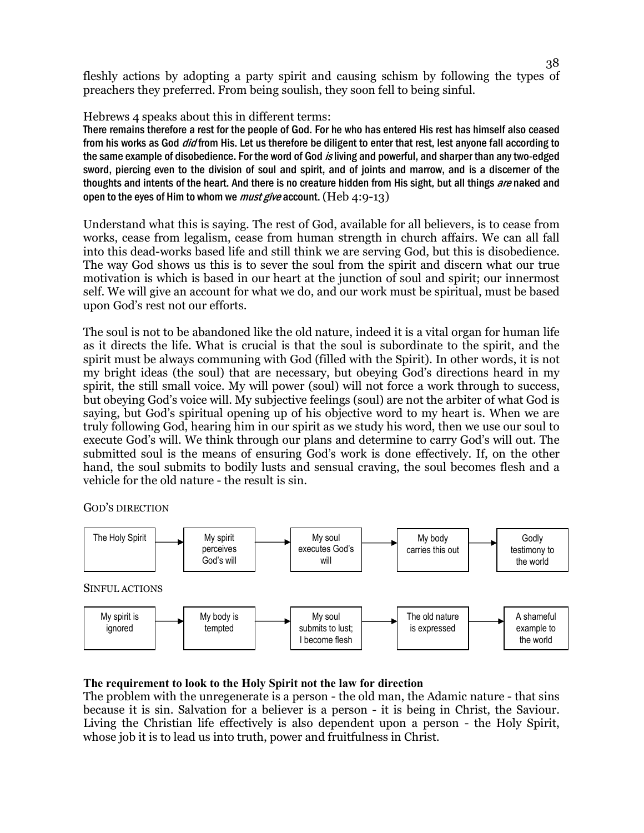fleshly actions by adopting a party spirit and causing schism by following the types of preachers they preferred. From being soulish, they soon fell to being sinful.

Hebrews 4 speaks about this in different terms:

There remains therefore a rest for the people of God. For he who has entered His rest has himself also ceased from his works as God *did* from His. Let us therefore be diligent to enter that rest, lest anyone fall according to the same example of disobedience. For the word of God is living and powerful, and sharper than any two-edged sword, piercing even to the division of soul and spirit, and of joints and marrow, and is a discerner of the thoughts and intents of the heart. And there is no creature hidden from His sight, but all things are naked and open to the eyes of Him to whom we *must give* account.  $(Heb 4:9-13)$ 

Understand what this is saying. The rest of God, available for all believers, is to cease from works, cease from legalism, cease from human strength in church affairs. We can all fall into this dead-works based life and still think we are serving God, but this is disobedience. The way God shows us this is to sever the soul from the spirit and discern what our true motivation is which is based in our heart at the junction of soul and spirit; our innermost self. We will give an account for what we do, and our work must be spiritual, must be based upon God's rest not our efforts.

The soul is not to be abandoned like the old nature, indeed it is a vital organ for human life as it directs the life. What is crucial is that the soul is subordinate to the spirit, and the spirit must be always communing with God (filled with the Spirit). In other words, it is not my bright ideas (the soul) that are necessary, but obeying God's directions heard in my spirit, the still small voice. My will power (soul) will not force a work through to success, but obeying God's voice will. My subjective feelings (soul) are not the arbiter of what God is saying, but God's spiritual opening up of his objective word to my heart is. When we are truly following God, hearing him in our spirit as we study his word, then we use our soul to execute God's will. We think through our plans and determine to carry God's will out. The submitted soul is the means of ensuring God's work is done effectively. If, on the other hand, the soul submits to bodily lusts and sensual craving, the soul becomes flesh and a vehicle for the old nature - the result is sin.

GOD'S DIRECTION



## **The requirement to look to the Holy Spirit not the law for direction**

The problem with the unregenerate is a person - the old man, the Adamic nature - that sins because it is sin. Salvation for a believer is a person - it is being in Christ, the Saviour. Living the Christian life effectively is also dependent upon a person - the Holy Spirit, whose job it is to lead us into truth, power and fruitfulness in Christ.

38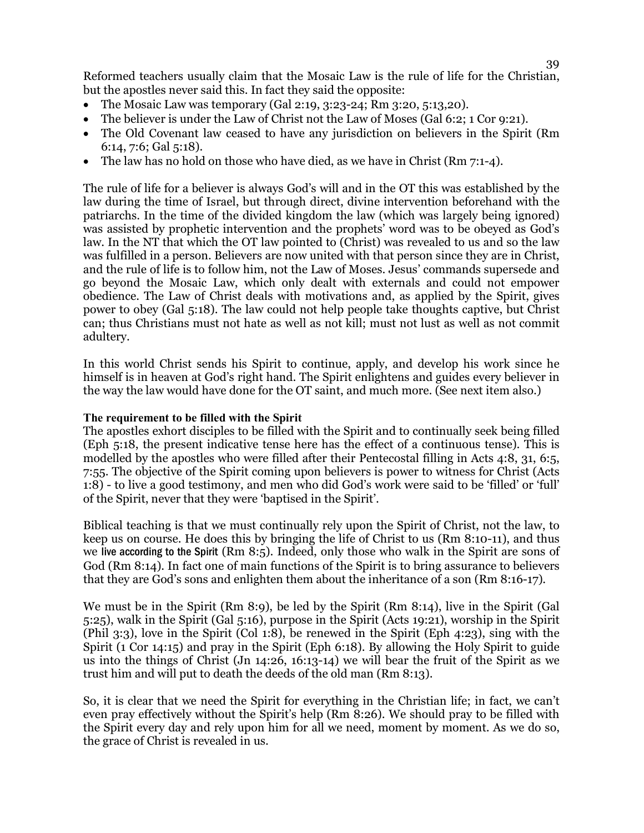Reformed teachers usually claim that the Mosaic Law is the rule of life for the Christian, but the apostles never said this. In fact they said the opposite:

- The Mosaic Law was temporary (Gal 2:19, 3:23-24; Rm 3:20, 5:13,20).
- The believer is under the Law of Christ not the Law of Moses (Gal 6:2; 1 Cor 9:21).
- The Old Covenant law ceased to have any jurisdiction on believers in the Spirit (Rm 6:14, 7:6; Gal 5:18).
- The law has no hold on those who have died, as we have in Christ (Rm 7:1-4).

The rule of life for a believer is always God's will and in the OT this was established by the law during the time of Israel, but through direct, divine intervention beforehand with the patriarchs. In the time of the divided kingdom the law (which was largely being ignored) was assisted by prophetic intervention and the prophets' word was to be obeyed as God's law. In the NT that which the OT law pointed to (Christ) was revealed to us and so the law was fulfilled in a person. Believers are now united with that person since they are in Christ, and the rule of life is to follow him, not the Law of Moses. Jesus' commands supersede and go beyond the Mosaic Law, which only dealt with externals and could not empower obedience. The Law of Christ deals with motivations and, as applied by the Spirit, gives power to obey (Gal 5:18). The law could not help people take thoughts captive, but Christ can; thus Christians must not hate as well as not kill; must not lust as well as not commit adultery.

In this world Christ sends his Spirit to continue, apply, and develop his work since he himself is in heaven at God's right hand. The Spirit enlightens and guides every believer in the way the law would have done for the OT saint, and much more. (See next item also.)

#### **The requirement to be filled with the Spirit**

The apostles exhort disciples to be filled with the Spirit and to continually seek being filled (Eph 5:18, the present indicative tense here has the effect of a continuous tense). This is modelled by the apostles who were filled after their Pentecostal filling in Acts 4:8, 31, 6:5, 7:55. The objective of the Spirit coming upon believers is power to witness for Christ (Acts 1:8) - to live a good testimony, and men who did God's work were said to be 'filled' or 'full' of the Spirit, never that they were 'baptised in the Spirit'.

Biblical teaching is that we must continually rely upon the Spirit of Christ, not the law, to keep us on course. He does this by bringing the life of Christ to us (Rm 8:10-11), and thus we live according to the Spirit (Rm 8:5). Indeed, only those who walk in the Spirit are sons of God (Rm 8:14). In fact one of main functions of the Spirit is to bring assurance to believers that they are God's sons and enlighten them about the inheritance of a son (Rm 8:16-17).

We must be in the Spirit (Rm 8:9), be led by the Spirit (Rm 8:14), live in the Spirit (Gal 5:25), walk in the Spirit (Gal 5:16), purpose in the Spirit (Acts 19:21), worship in the Spirit (Phil 3:3), love in the Spirit (Col 1:8), be renewed in the Spirit (Eph 4:23), sing with the Spirit (1 Cor 14:15) and pray in the Spirit (Eph 6:18). By allowing the Holy Spirit to guide us into the things of Christ (Jn 14:26, 16:13-14) we will bear the fruit of the Spirit as we trust him and will put to death the deeds of the old man (Rm 8:13).

So, it is clear that we need the Spirit for everything in the Christian life; in fact, we can't even pray effectively without the Spirit's help (Rm 8:26). We should pray to be filled with the Spirit every day and rely upon him for all we need, moment by moment. As we do so, the grace of Christ is revealed in us.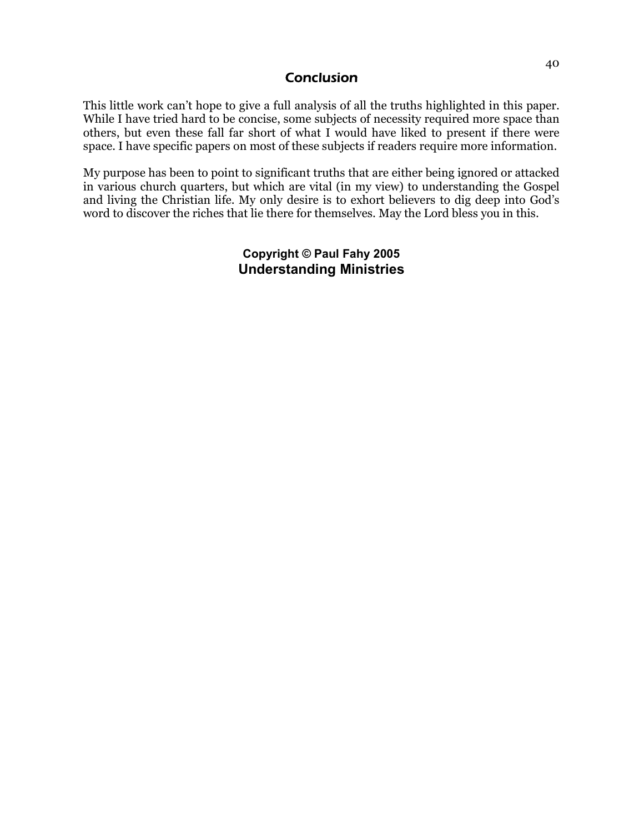## **Conclusion**

This little work can't hope to give a full analysis of all the truths highlighted in this paper. While I have tried hard to be concise, some subjects of necessity required more space than others, but even these fall far short of what I would have liked to present if there were space. I have specific papers on most of these subjects if readers require more information.

My purpose has been to point to significant truths that are either being ignored or attacked in various church quarters, but which are vital (in my view) to understanding the Gospel and living the Christian life. My only desire is to exhort believers to dig deep into God's word to discover the riches that lie there for themselves. May the Lord bless you in this.

## **Copyright © Paul Fahy 2005 Understanding Ministries**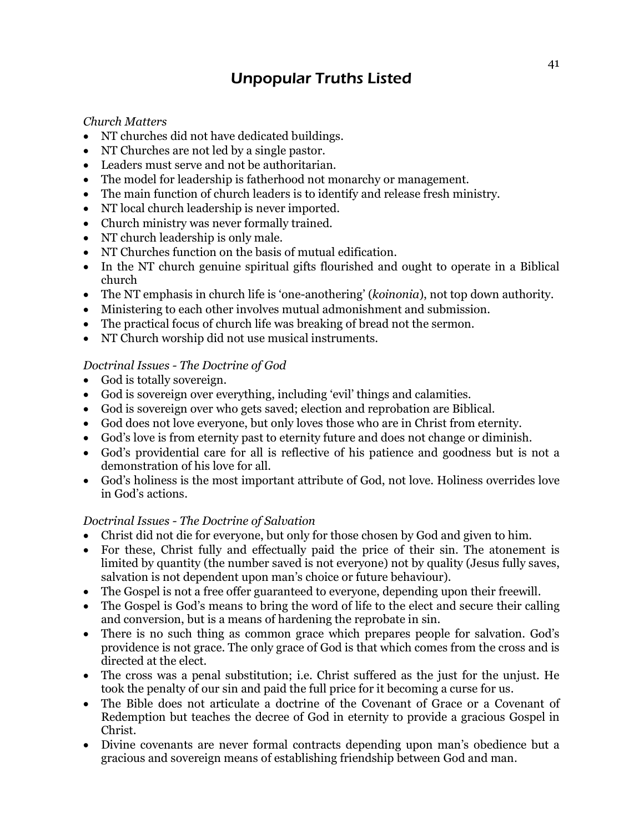## Unpopular Truths Listed

*Church Matters* 

- NT churches did not have dedicated buildings.
- NT Churches are not led by a single pastor.
- Leaders must serve and not be authoritarian.
- The model for leadership is fatherhood not monarchy or management.
- The main function of church leaders is to identify and release fresh ministry.
- NT local church leadership is never imported.
- Church ministry was never formally trained.
- NT church leadership is only male.
- NT Churches function on the basis of mutual edification.
- In the NT church genuine spiritual gifts flourished and ought to operate in a Biblical church
- The NT emphasis in church life is 'one-anothering' (*koinonia*), not top down authority.
- Ministering to each other involves mutual admonishment and submission.
- The practical focus of church life was breaking of bread not the sermon.
- NT Church worship did not use musical instruments.

## *Doctrinal Issues - The Doctrine of God*

- God is totally sovereign.
- God is sovereign over everything, including 'evil' things and calamities.
- God is sovereign over who gets saved; election and reprobation are Biblical.
- God does not love everyone, but only loves those who are in Christ from eternity.
- God's love is from eternity past to eternity future and does not change or diminish.
- God's providential care for all is reflective of his patience and goodness but is not a demonstration of his love for all.
- God's holiness is the most important attribute of God, not love. Holiness overrides love in God's actions.

## *Doctrinal Issues - The Doctrine of Salvation*

- Christ did not die for everyone, but only for those chosen by God and given to him.
- For these, Christ fully and effectually paid the price of their sin. The atonement is limited by quantity (the number saved is not everyone) not by quality (Jesus fully saves, salvation is not dependent upon man's choice or future behaviour).
- The Gospel is not a free offer guaranteed to everyone, depending upon their freewill.
- The Gospel is God's means to bring the word of life to the elect and secure their calling and conversion, but is a means of hardening the reprobate in sin.
- There is no such thing as common grace which prepares people for salvation. God's providence is not grace. The only grace of God is that which comes from the cross and is directed at the elect.
- The cross was a penal substitution; i.e. Christ suffered as the just for the unjust. He took the penalty of our sin and paid the full price for it becoming a curse for us.
- The Bible does not articulate a doctrine of the Covenant of Grace or a Covenant of Redemption but teaches the decree of God in eternity to provide a gracious Gospel in Christ.
- Divine covenants are never formal contracts depending upon man's obedience but a gracious and sovereign means of establishing friendship between God and man.